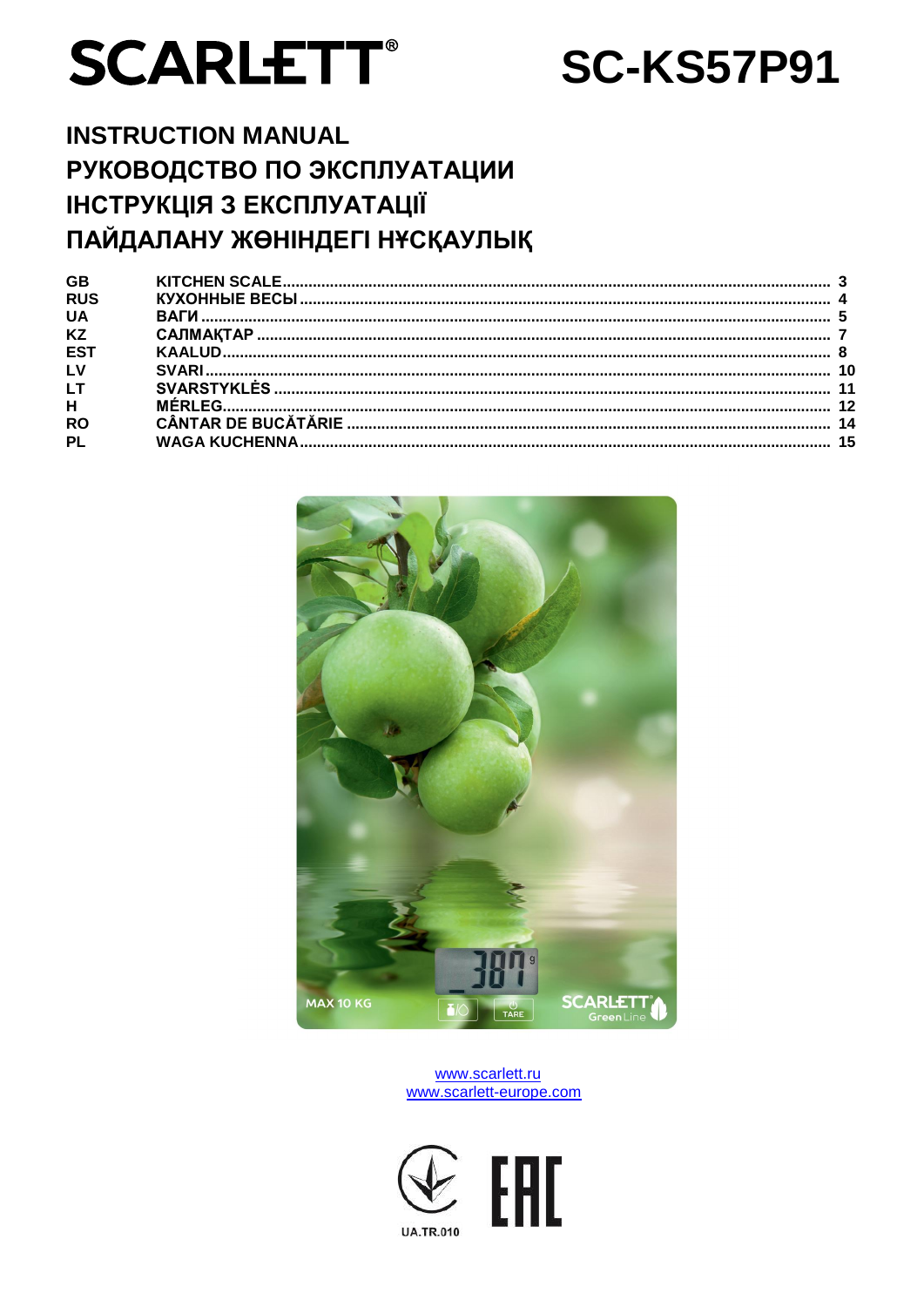# **SCARLETT®**

# **SC-KS57P91**

# **INSTRUCTION MANUAL** РУКОВОДСТВО ПО ЭКСПЛУАТАЦИИ **ІНСТРУКЦІЯ З ЕКСПЛУАТАЦІЇ** ПАЙДАЛАНУ ЖӨНІНДЕГІ НҰСҚАУЛЫҚ

| <b>GB</b><br><b>RUS</b> |  |
|-------------------------|--|
| <b>UA</b>               |  |
| <b>KZ</b>               |  |
| ES.                     |  |
| LV                      |  |
| <b>LT</b>               |  |
| H                       |  |
| <b>RO</b>               |  |
| <b>PL</b>               |  |



#### www.scarlett.ru www.scarlett-europe.com

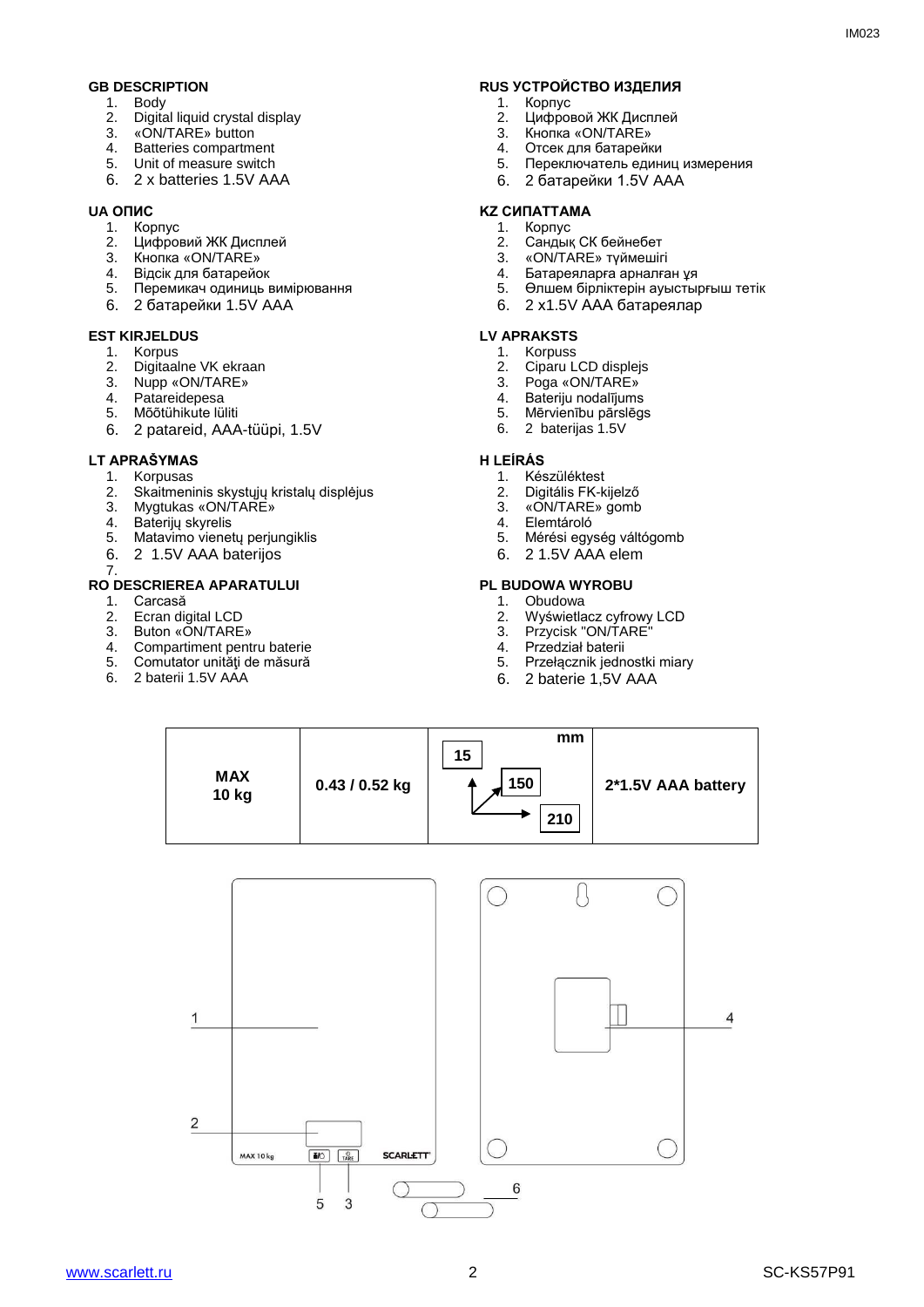- 1. Body<br>2. Digita
- Digital liquid crystal display
- 3. «ON/TARE» button
- 4. Batteries compartment<br>5. Unit of measure switch
- Unit of measure switch
- 6. 2 x batteries 1.5V AAA

- 1. Корпус
- 2. Цифровий ЖК Дисплей
- 3. Кнопка «ON/TARE»
- 4. Відсік для батарейок<br>5. Перемикач одиниць в
- 5. Перемикач одиниць вимірювання
- 6. 2 батарейки 1.5V AAA

# **EST KIRJELDUS LV APRAKSTS**<br>1. Korpus 1. Korpus

- 1. Korpus
- 2. Digitaalne VK ekraan<br>3. Nupp «ON/TARE»
- 3. Nupp «ON/TARE»<br>4. Patareidepesa
- Patareidepesa
- 5. Mõõtühikute lüliti
- 6. 2 patareid, AAA-tüüpi, 1.5V

#### **LT APRAŠYMAS H LEÍRÁS**

- 1. Korpusas<br>2. Skaitmeni
- 2. Skaitmeninis skystųjų kristalų displėjus<br>3. Mygtukas «ON/TARF»
- 3. Mygtukas «ON/TARE»<br>4. Bateriju skvrelis
- 4. Baterijų skyrelis<br>5. Matavimo vienet
- Matavimo vienetų perjungiklis
- 6. 2 1.5V AAA baterijos

#### 7. **RO DESCRIEREA APARATULUI PL BUDOWA WYROBU**

- 1. Carcasă
- 2. Ecran digital LCD
- 3. Buton «ON/TARE»<br>4. Compartiment pent
- 4. Compartiment pentru baterie<br>5. Comutator unități de măsură
- Comutator unități de măsură
- 6. 2 baterii 1.5V AAA

## **GB DESCRIPTION GB RUS УСТРОЙСТВО ИЗДЕЛИЯ**<br>1. Body 1. Kopпус

- 1. Корпус<br>2. Нифрон
- 2. Цифровой ЖК Дисплей
- **3.** Кнопка «ON/TARE»<br>4. Отсек лля батарейк
- 4. Отсек для батарейки<br>5. Переключатель един
- 5. Переключатель единиц измерения
- 6. 2 батарейки 1.5V AAA

#### **UA ОПИС KZ СИПАТТАМА**

- 1. Корпус
- 2. Сандық СК бейнебет
- 3. «ON/TARE» түймешігі
- 4. Батареяларға арналған ұя<br>5. Өлшем бірліктерін ауыстық
- 5. Өлшем бірліктерін ауыстырғыш тетік
- 6. 2 х1.5V AAA батареялар

- **Korpuss**
- 2. Ciparu LCD displejs<br>3. Poga «ON/TARE»
- 
- 3. Poga «ON/TARE»<br>4. Bateriiu nodalījums 4. Bateriju nodalījums
- 5. Mērvienību pārslēgs
- 6. 2 baterijas 1.5V

- 1. Készüléktest<br>2. Digitális FK-k
- 2. Digitális FK-kijelző<br>3. «ON/TARE» gomb
- 3. «ON/TARE» gomb<br>4. Elemtároló
- 4. Elemtároló<br>5. Mérési egy
- 5. Mérési egység váltógomb
- 6. 2 1.5V AAA elem

- 1. Obudowa
- 2. Wyświetlacz cyfrowy LCD<br>3. Przycisk "ON/TARE"
- 3. Przycisk "ON/TARE<sup>"</sup><br>4. Przedział baterii
- 4. Przedział baterii<br>5. Przełacznik jedn
- 5. Przełącznik jednostki miary
- 6. 2 baterie 1,5V AAA



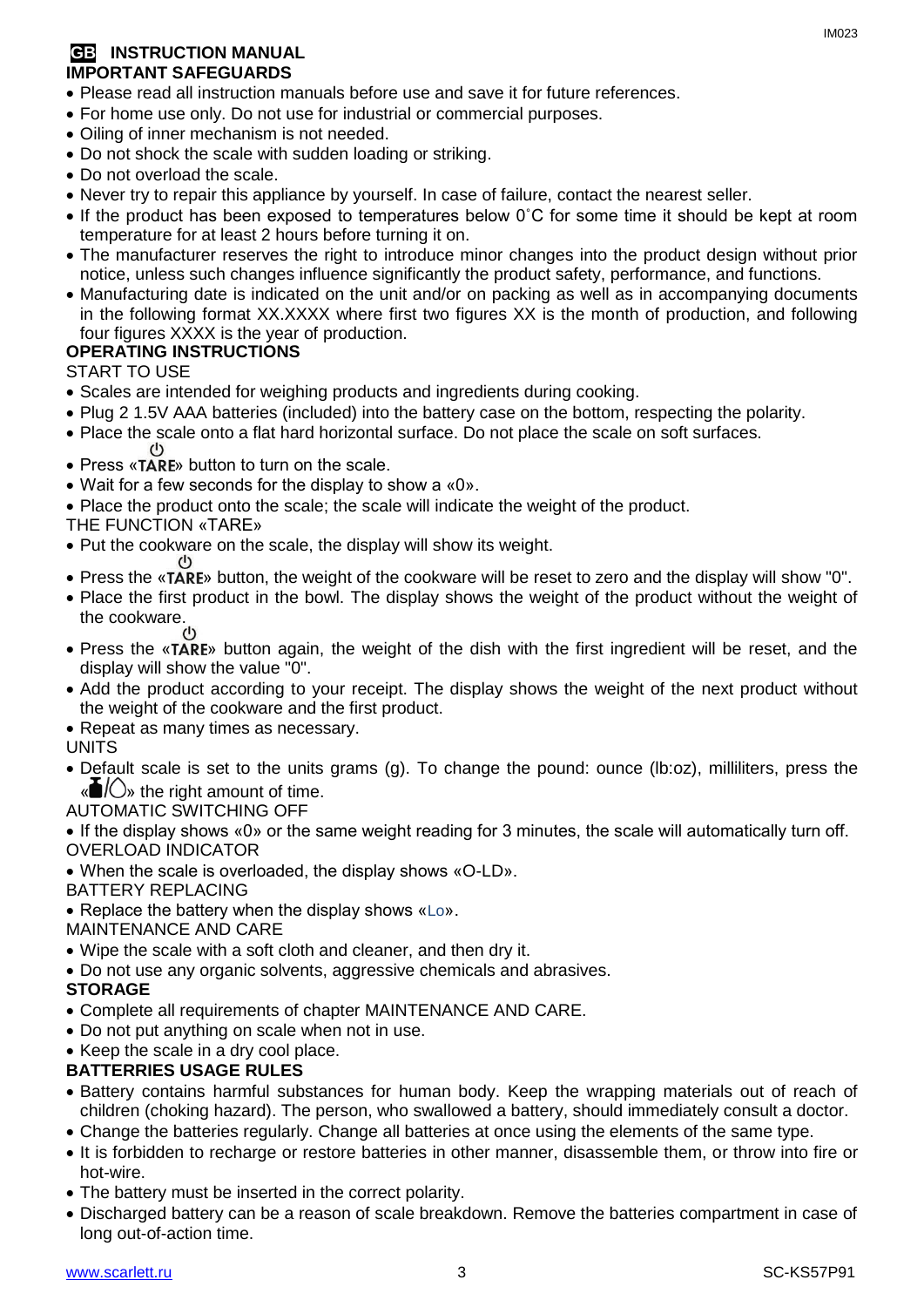#### **GB INSTRUCTION MANUAL IMPORTANT SAFEGUARDS**

- Please read all instruction manuals before use and save it for future references.
- For home use only. Do not use for industrial or commercial purposes.
- Oiling of inner mechanism is not needed.
- Do not shock the scale with sudden loading or striking.
- Do not overload the scale.
- Never try to repair this appliance by yourself. In case of failure, contact the nearest seller.
- If the product has been exposed to temperatures below 0°C for some time it should be kept at room temperature for at least 2 hours before turning it on.
- The manufacturer reserves the right to introduce minor changes into the product design without prior notice, unless such changes influence significantly the product safety, performance, and functions.
- Manufacturing date is indicated on the unit and/or on packing as well as in accompanying documents in the following format XX.XXXX where first two figures XX is the month of production, and following four figures XXXX is the year of production.

#### **OPERATING INSTRUCTIONS**

START TO USE

- Scales are intended for weighing products and ingredients during cooking.
- Plug 2 1.5V AAA batteries (included) into the battery case on the bottom, respecting the polarity.
- Place the scale onto a flat hard horizontal surface. Do not place the scale on soft surfaces.<br>(b)
- Press «TARE» button to turn on the scale.
- Wait for a few seconds for the display to show a «0».
- Place the product onto the scale; the scale will indicate the weight of the product.
- THE FUNCTION «TARE»
- Put the cookware on the scale, the display will show its weight.
- Press the «TARE» button, the weight of the cookware will be reset to zero and the display will show "0".
- Place the first product in the bowl. The display shows the weight of the product without the weight of the cookware.
- Press the «TARE» button again, the weight of the dish with the first ingredient will be reset, and the display will show the value "0".
- Add the product according to your receipt. The display shows the weight of the next product without the weight of the cookware and the first product.
- Repeat as many times as necessary.

#### UNITS

- Default scale is set to the units grams (g). To change the pound: ounce (lb:oz), milliliters, press the  $\langle \mathbf{m} \rangle$  the right amount of time.
- AUTOMATIC SWITCHING OFF

 If the display shows «0» or the same weight reading for 3 minutes, the scale will automatically turn off. OVERLOAD INDICATOR

When the scale is overloaded, the display shows «O-LD».

BATTERY REPLACING

- Replace the battery when the display shows «Lo».
- MAINTENANCE AND CARE
- Wipe the scale with a soft cloth and cleaner, and then dry it.
- Do not use any organic solvents, aggressive chemicals and abrasives.

#### **STORAGE**

- Complete all requirements of chapter MAINTENANCE AND CARE.
- Do not put anything on scale when not in use.
- Keep the scale in a dry cool place.

#### **BATTERRIES USAGE RULES**

- Battery contains harmful substances for human body. Keep the wrapping materials out of reach of children (choking hazard). The person, who swallowed a battery, should immediately consult a doctor.
- Change the batteries regularly. Change all batteries at once using the elements of the same type.
- It is forbidden to recharge or restore batteries in other manner, disassemble them, or throw into fire or hot-wire.
- The battery must be inserted in the correct polarity.
- Discharged battery can be a reason of scale breakdown. Remove the batteries compartment in case of long out-of-action time.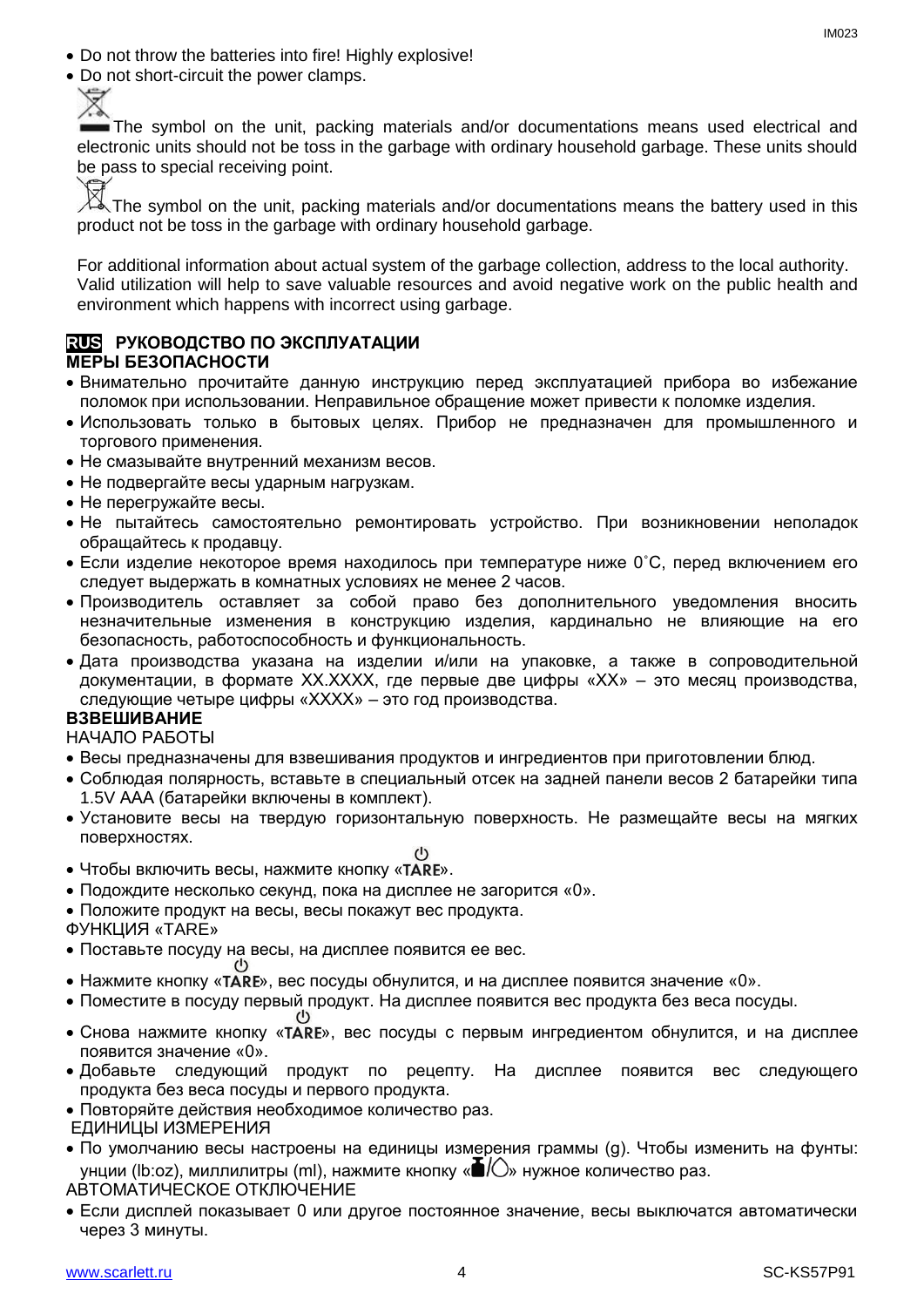- Do not throw the batteries into fire! Highly explosive!
- Do not short-circuit the power clamps.



The symbol on the unit, packing materials and/or documentations means used electrical and electronic units should not be toss in the garbage with ordinary household garbage. These units should be pass to special receiving point.

The symbol on the unit, packing materials and/or documentations means the battery used in this product not be toss in the garbage with ordinary household garbage.

For additional information about actual system of the garbage collection, address to the local authority. Valid utilization will help to save valuable resources and avoid negative work on the public health and environment which happens with incorrect using garbage.

#### **RUS РУКОВОДСТВО ПО ЭКСПЛУАТАЦИИ МЕРЫ БЕЗОПАСНОСТИ**

- Внимательно прочитайте данную инструкцию перед эксплуатацией прибора во избежание поломок при использовании. Неправильное обращение может привести к поломке изделия.
- Использовать только в бытовых целях. Прибор не предназначен для промышленного и торгового применения.
- Не смазывайте внутренний механизм весов.
- Не подвергайте весы ударным нагрузкам.
- Не перегружайте весы.
- Не пытайтесь самостоятельно ремонтировать устройство. При возникновении неполадок обращайтесь к продавцу.
- $\bullet$  Если изделие некоторое время находилось при температуре ниже 0°С, перед включением его следует выдержать в комнатных условиях не менее 2 часов.
- Производитель оставляет за собой право без дополнительного уведомления вносить незначительные изменения в конструкцию изделия, кардинально не влияющие на его безопасность, работоспособность и функциональность.
- Дата производства указана на изделии и/или на упаковке, а также в сопроводительной документации, в формате XX.XXXX, где первые две цифры «XX» – это месяц производства, следующие четыре цифры «XXXX» – это год производства.

#### **ВЗВЕШИВАНИЕ**

НАЧАЛО РАБОТЫ

- Весы предназначены для взвешивания продуктов и ингредиентов при приготовлении блюд.
- Соблюдая полярность, вставьте в специальный отсек на задней панели весов 2 батарейки типа 1.5V AAA (батарейки включены в комплект).
- Установите весы на твердую горизонтальную поверхность. Не размещайте весы на мягких поверхностях.
- $\mathcal{L}$ • Чтобы включить весы, нажмите кнопку «TARE».
- Подождите несколько секунд, пока на дисплее не загорится «0».
- Положите продукт на весы, весы покажут вес продукта.

ФУНКЦИЯ «TARE»

- Поставьте посуду на весы, на дисплее появится ее вес.
- Нажмите кнопку «TARE», вес посуды обнулится, и на дисплее появится значение «0».
- Поместите в посуду первый продукт. На дисплее появится вес продукта без веса посуды.
- Снова нажмите кнопку «TARE», вес посуды с первым ингредиентом обнулится, и на дисплее появится значение «0».
- Добавьте следующий продукт по рецепту. На дисплее появится вес следующего продукта без веса посуды и первого продукта.
- Повторяйте действия необходимое количество раз.
- ЕДИНИЦЫ ИЗМЕРЕНИЯ
- По умолчанию весы настроены на единицы измерения граммы (g). Чтобы изменить на фунты:  $V$ нции (lb:oz), миллилитры (ml), нажмите кнопку « $\blacksquare$ ) нужное количество раз.

АВТОМАТИЧЕСКОЕ ОТКЛЮЧЕНИЕ

 Если дисплей показывает 0 или другое постоянное значение, весы выключатся автоматически через 3 минуты.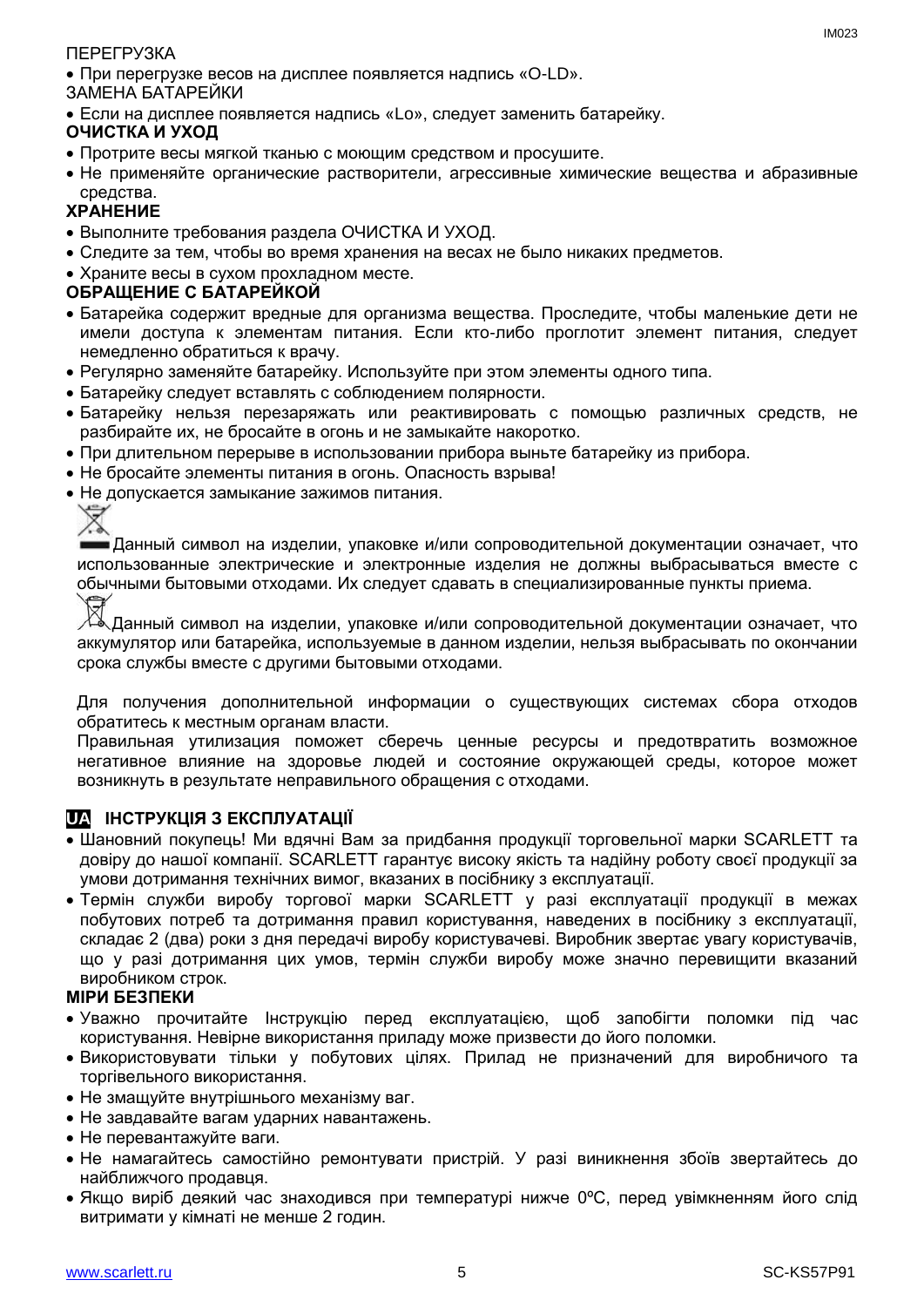#### ПЕРЕГРУЗКА

При перегрузке весов на дисплее появляется надпись «O-LD».

ЗАМЕНА БАТАРЕЙКИ

Если на дисплее появляется надпись «Lo», следует заменить батарейку.

#### **ОЧИСТКА И УХОД**

- Протрите весы мягкой тканью с моющим средством и просушите.
- Не применяйте органические растворители, агрессивные химические вещества и абразивные средства.

### **ХРАНЕНИЕ**

- Выполните требования раздела ОЧИСТКА И УХОД.
- Следите за тем, чтобы во время хранения на весах не было никаких предметов.
- Храните весы в сухом прохладном месте.

#### **ОБРАЩЕНИЕ С БАТАРЕЙКОЙ**

- Батарейка содержит вредные для организма вещества. Проследите, чтобы маленькие дети не имели доступа к элементам питания. Если кто-либо проглотит элемент питания, следует немедленно обратиться к врачу.
- Регулярно заменяйте батарейку. Используйте при этом элементы одного типа.
- Батарейку следует вставлять с соблюдением полярности.
- Батарейку нельзя перезаряжать или реактивировать с помощью различных средств, не разбирайте их, не бросайте в огонь и не замыкайте накоротко.
- При длительном перерыве в использовании прибора выньте батарейку из прибора.
- Не бросайте элементы питания в огонь. Опасность взрыва!
- Не допускается замыкание зажимов питания.

Данный символ на изделии, упаковке и/или сопроводительной документации означает, что использованные электрические и электронные изделия не должны выбрасываться вместе с обычными бытовыми отходами. Их следует сдавать в специализированные пункты приема.

⊠

Данный символ на изделии, упаковке и/или сопроводительной документации означает, что аккумулятор или батарейка, используемые в данном изделии, нельзя выбрасывать по окончании срока службы вместе с другими бытовыми отходами.

Для получения дополнительной информации о существующих системах сбора отходов обратитесь к местным органам власти.

Правильная утилизация поможет сберечь ценные ресурсы и предотвратить возможное негативное влияние на здоровье людей и состояние окружающей среды, которое может возникнуть в результате неправильного обращения с отходами.

### **UA ІНСТРУКЦІЯ З ЕКСПЛУАТАЦІЇ**

- Шановний покупець! Ми вдячні Вам за придбання продукції торговельної марки SCARLETT та довіру до нашої компанії. SCARLETT гарантує високу якість та надійну роботу своєї продукції за умови дотримання технічних вимог, вказаних в посібнику з експлуатації.
- Термін служби виробу торгової марки SCARLETT у разі експлуатації продукції в межах побутових потреб та дотримання правил користування, наведених в посібнику з експлуатації, складає 2 (два) роки з дня передачі виробу користувачеві. Виробник звертає увагу користувачів, що у разі дотримання цих умов, термін служби виробу може значно перевищити вказаний виробником строк.

#### **МІРИ БЕЗПЕКИ**

- Уважно прочитайте Інструкцію перед експлуатацією, щоб запобігти поломки під час користування. Невірне використання приладу може призвести до його поломки.
- Використовувати тільки у побутових цілях. Прилад не призначений для виробничого та торгівельного використання.
- Не змащуйте внутрішнього механізму ваг.
- Не завдавайте вагам ударних навантажень.
- Не перевантажуйте ваги.
- Не намагайтесь самостійно ремонтувати пристрій. У разі виникнення збоїв звертайтесь до найближчого продавця.
- Якщо виріб деякий час знаходився при температурі нижче 0ºC, перед увімкненням його слід витримати у кімнаті не менше 2 годин.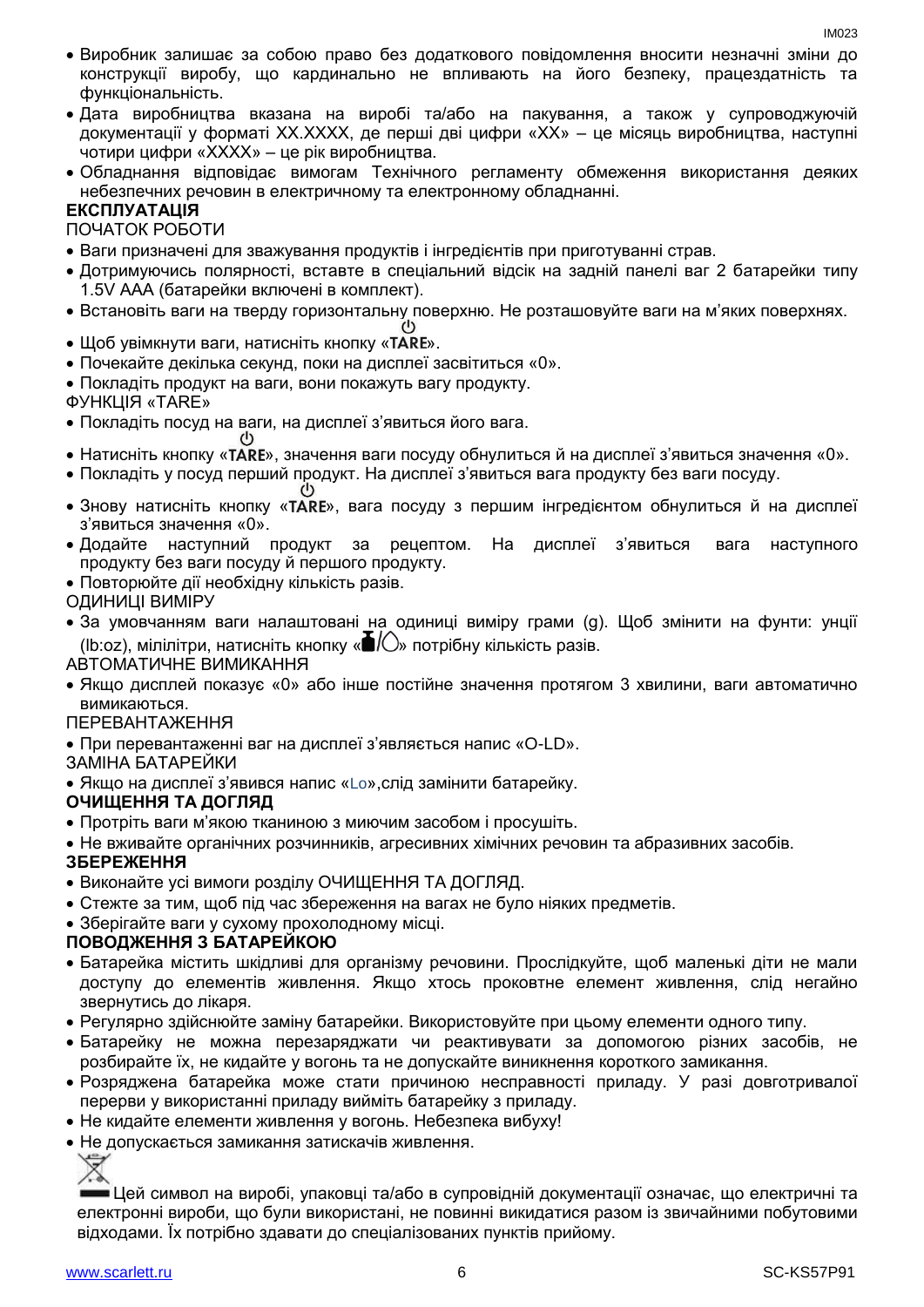- Виробник залишає за собою право без додаткового повідомлення вносити незначні зміни до конструкції виробу, що кардинально не впливають на його безпеку, працездатність та функціональність.
- Дата виробництва вказана на виробі та/або на пакування, а також у супроводжуючій документації у форматі XX.XXXX, де перші дві цифри «XX» – це місяць виробництва, наступні чотири цифри «XXXX» – це рік виробництва.
- Обладнання відповідає вимогам Технічного регламенту обмеження використання деяких небезпечних речовин в електричному та електронному обладнанні.

#### **ЕКСПЛУАТАЦІЯ**

ПОЧАТОК РОБОТИ

- Ваги призначені для зважування продуктів і інгредієнтів при приготуванні страв.
- Дотримуючись полярності, вставте в спеціальний відсік на задній панелі ваг 2 батарейки типу 1.5V AAA (батарейки включені в комплект).
- Встановіть ваги на тверду горизонтальну поверхню. Не розташовуйте ваги на м'яких поверхнях.
- $\bullet$  Щоб увімкнути ваги, натисніть кнопку «TARE».
- Почекайте декілька секунд, поки на дисплеї засвітиться «0».
- Покладіть продукт на ваги, вони покажуть вагу продукту.
- ФУНКЦІЯ «TARE»
- Покладіть посуд на ваги, на дисплеї з'явиться його вага.
- Натисніть кнопку «ТАRЕ», значення ваги посуду обнулиться й на дисплеї з'явиться значення «0».
- Покладіть у посуд перший продукт. На дисплеї з'явиться вага продукту без ваги посуду.
- Знову натисніть кнопку «TARE», вага посуду з першим інгредієнтом обнулиться й на дисплеї з'явиться значення «0».
- Додайте наступний продукт за рецептом. На дисплеї з'явиться вага наступного продукту без ваги посуду й першого продукту.
- Повторюйте дії необхідну кількість разів.

ОДИНИЦІ ВИМІРУ

 За умовчанням ваги налаштовані на одиниці виміру грами (g). Щоб змінити на фунти: унції (lb:oz), мілілітри, натисніть кнопку « $\blacksquare$ / $\bigcirc$ » потрібну кількість разів.

АВТОМАТИЧНЕ ВИМИКАННЯ

 Якщо дисплей показує «0» або інше постійне значення протягом 3 хвилини, ваги автоматично вимикаються.

#### ПЕРЕВАНТАЖЕННЯ

- При перевантаженні ваг на дисплеї з'являється напис «O-LD».
- ЗАМІНА БАТАРЕЙКИ
- Якщо на дисплеї з'явився напис «Lo»,слід замінити батарейку.

#### **ОЧИЩЕННЯ ТА ДОГЛЯД**

- Протріть ваги м'якою тканиною з миючим засобом і просушіть.
- Не вживайте органічних розчинників, агресивних хімічних речовин та абразивних засобів.

#### **ЗБЕРЕЖЕННЯ**

- Виконайте усі вимоги розділу ОЧИЩЕННЯ ТА ДОГЛЯД.
- Стежте за тим, щоб під час збереження на вагах не було ніяких предметів.
- Зберігайте ваги у сухому прохолодному місці.

#### **ПОВОДЖЕННЯ З БАТАРЕЙКОЮ**

- Батарейка містить шкідливі для організму речовини. Прослідкуйте, щоб маленькі діти не мали доступу до елементів живлення. Якщо хтось проковтне елемент живлення, слід негайно звернутись до лікаря.
- Регулярно здійснюйте заміну батарейки. Використовуйте при цьому елементи одного типу.
- Батарейку не можна перезаряджати чи реактивувати за допомогою різних засобів, не розбирайте їх, не кидайте у вогонь та не допускайте виникнення короткого замикання.
- Розряджена батарейка може стати причиною несправності приладу. У разі довготривалої перерви у використанні приладу вийміть батарейку з приладу.
- Не кидайте елементи живлення у вогонь. Небезпека вибуху!
- Не допускається замикання затискачів живлення.

Цей символ на виробі, упаковці та/або в супровідній документації означає, що електричні та електронні вироби, що були використані, не повинні викидатися разом із звичайними побутовими відходами. Їх потрібно здавати до спеціалізованих пунктів прийому.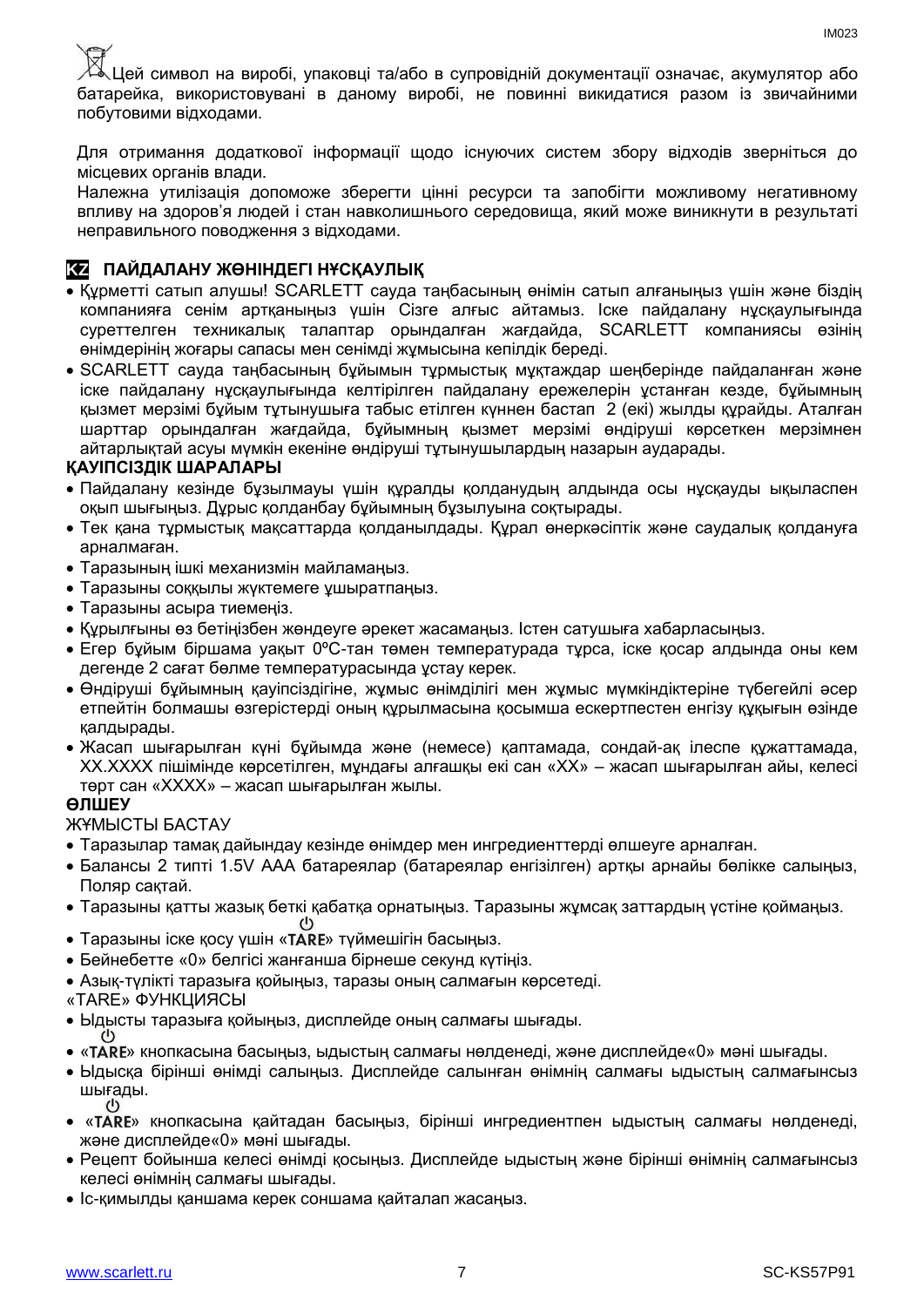Цей символ на виробі, упаковці та/або в супровідній документації означає, акумулятор або батарейка, використовувані в даному виробі, не повинні викидатися разом із звичайними побутовими відходами.

Для отримання додаткової інформації щодо існуючих систем збору відходів зверніться до місцевих органів влади.

Належна утилізація допоможе зберегти цінні ресурси та запобігти можливому негативному впливу на здоров'я людей і стан навколишнього середовища, який може виникнути в результаті неправильного поводження з відходами.

#### **KZ ПАЙДАЛАНУ ЖӨНІНДЕГІ НҰСҚАУЛЫҚ**

- Құрметті сатып алушы! SCARLETT сауда таңбасының өнімін сатып алғаныңыз үшін және біздің компанияға сенім артқаныңыз үшін Сізге алғыс айтамыз. Іске пайдалану нұсқаулығында суреттелген техникалық талаптар орындалған жағдайда, SCARLETT компаниясы өзінің өнімдерінің жоғары сапасы мен сенімді жұмысына кепілдік береді.
- SCARLETT сауда таңбасының бұйымын тұрмыстық мұқтаждар шеңберінде пайдаланған және іске пайдалану нұсқаулығында келтірілген пайдалану ережелерін ұстанған кезде, бұйымның қызмет мерзімі бұйым тұтынушыға табыс етілген күннен бастап 2 (екі) жылды құрайды. Аталған шарттар орындалған жағдайда, бұйымның қызмет мерзімі өндіруші көрсеткен мерзімнен айтарлықтай асуы мүмкін екеніне өндіруші тұтынушылардың назарын аударады.

#### **ҚАУІПСІЗДІК ШАРАЛАРЫ**

- Пайдалану кезінде бұзылмауы үшін құралды қолданудың алдында осы нұсқауды ықыласпен оқып шығыңыз. Дұрыс қолданбау бұйымның бұзылуына соқтырады.
- Тек қана тұрмыстық мақсаттарда қолданылдады. Құрал өнеркәсіптік және саудалық қолдануға арналмаған.
- Таразының ішкі механизмін майламаңыз.
- Таразыны соққылы жүктемеге ұшыратпаңыз.
- Таразыны асыра тиемеңіз.
- Құрылғыны өз бетіңізбен жөндеуге әрекет жасамаңыз. Істен сатушыға хабарласыңыз.
- Егер бұйым біршама уақыт 0ºC-тан төмен температурада тұрса, іске қосар алдында оны кем дегенде 2 сағат бөлме температурасында ұстау керек.
- Өндіруші бұйымның қауіпсіздігіне, жұмыс өнімділігі мен жұмыс мүмкіндіктеріне түбегейлі әсер етпейтін болмашы өзгерістерді оның құрылмасына қосымша ескертпестен енгізу құқығын өзінде қалдырады.
- Жасап шығарылған күні бұйымда және (немесе) қаптамада, сондай-ақ ілеспе құжаттамада, XX.XXXX пішімінде көрсетілген, мұндағы алғашқы екі сан «XX» – жасап шығарылған айы, келесі төрт сан «XXXX» – жасап шығарылған жылы.

#### **ӨЛШЕУ**

ЖҰМЫСТЫ БАСТАУ

- Таразылар тамақ дайындау кезінде өнімдер мен ингредиенттерді өлшеуге арналған.
- Балансы 2 типті 1.5V AAA батареялар (батареялар енгізілген) артқы арнайы бөлікке салыңыз, Поляр сақтай.
- Таразыны қатты жазық беткі қабатқа орнатыңыз. Таразыны жұмсақ заттардың үстіне қоймаңыз.
- $(1)$ • Таразыны іске қосу үшін «TARE» түймешігін басыңыз.
- Бейнебетте «0» белгісі жанғанша бірнеше секунд күтіңіз.
- Азық-түлікті таразыға қойыңыз, таразы оның салмағын көрсетеді.
- «TARE» ФУНКЦИЯСЫ
- Ыдысты таразыға қойыңыз, дисплейде оның салмағы шығады.
- « » кнопкасына басыңыз, ыдыстың салмағы нөлденеді, және дисплейде«0» мәні шығады.
- Ыдысқа бірінші өнімді салыңыз. Дисплейде салынған өнімнің салмағы ыдыстың салмағынсыз шығады.
- « » кнопкасына қайтадан басыңыз, бірінші ингредиентпен ыдыстың салмағы нөлденеді, және дисплейде«0» мәні шығады.
- Рецепт бойынша келесі өнімді қосыңыз. Дисплейде ыдыстың және бірінші өнімнің салмағынсыз келесі өнімнің салмағы шығады.
- Іс-қимылды қаншама керек соншама қайталап жасаңыз.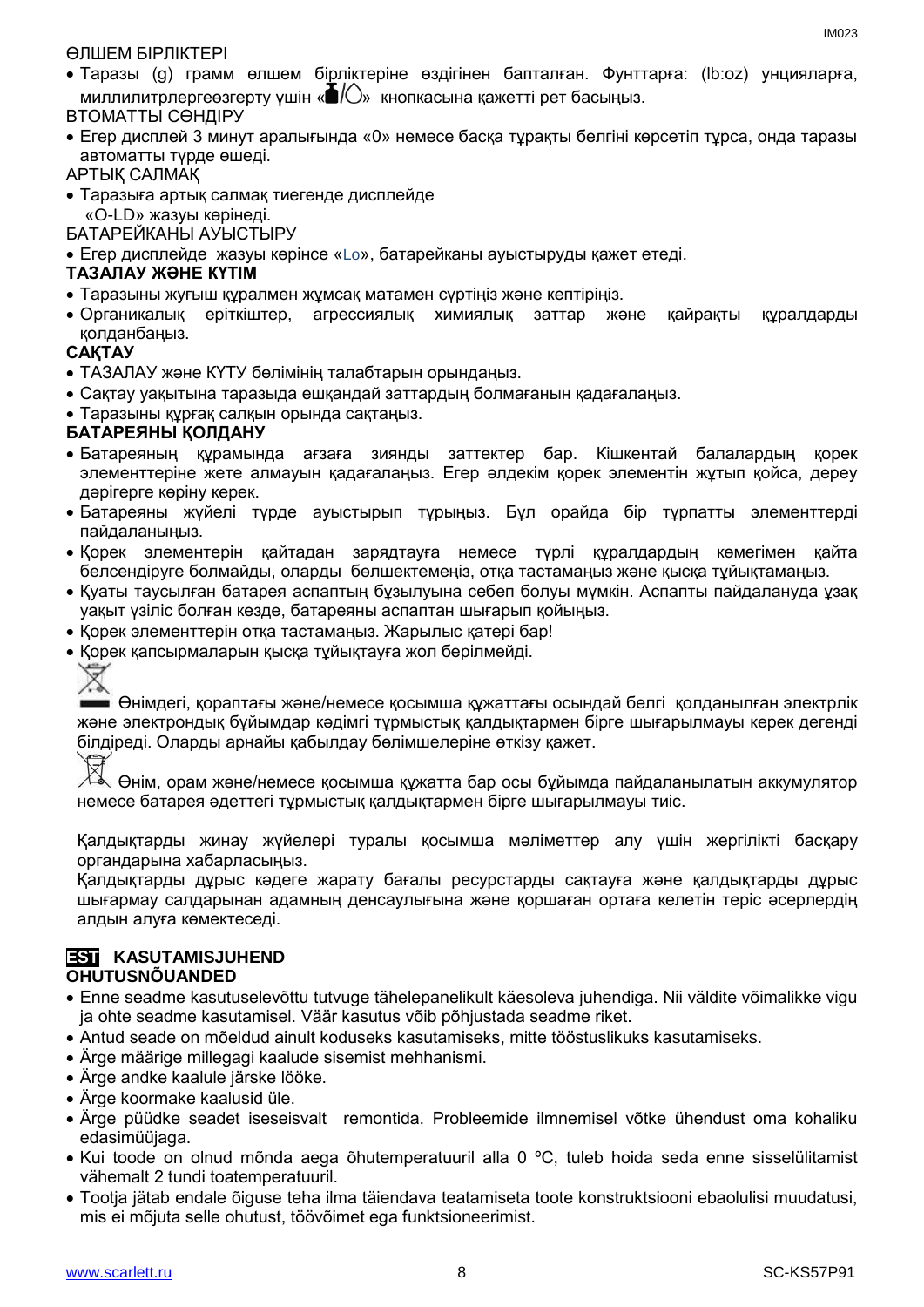#### ӨЛШЕМ БІРЛІКТЕРІ

 Таразы (g) грамм өлшем бірліктеріне өздігінен бапталған. Фунттарға: (lb:oz) унцияларға, миллилитрлергеөзгерту үшін « $\blacksquare/\bigcirc$ » кнопкасына қажетті рет басыңыз.

#### ВТОМАТТЫ СӨНДІРУ

 Егер дисплей 3 минут аралығында «0» немесе басқа тұрақты белгіні көрсетіп тұрса, онда таразы автоматты түрде өшеді.

#### АРТЫҚ САЛМАҚ

 Таразыға артық салмақ тиегенде дисплейде «O-LD» жазуы көрінеді.

БАТАРЕЙКАНЫ АУЫСТЫРУ

Егер дисплейде жазуы көрінсе «Lo», батарейканы ауыстыруды қажет етеді.

#### **ТАЗАЛАУ ЖӘНЕ КҮТІМ**

- Таразыны жуғыш құралмен жұмсақ матамен сүртіңіз және кептіріңіз.
- Органикалық еріткіштер, агрессиялық химиялық заттар және қайрақты құралдарды қолданбаңыз.

#### **САҚТАУ**

- ТАЗАЛАУ және КҮТУ бөлімінің талабтарын орындаңыз.
- Сақтау уақытына таразыда ешқандай заттардың болмағанын қадағалаңыз.
- Таразыны құрғақ салқын орында сақтаңыз.

#### **БАТАРЕЯНЫ ҚОЛДАНУ**

- Батареяның құрамында ағзаға зиянды заттектер бар. Кішкентай балалардың қорек элементтеріне жете алмауын қадағалаңыз. Егер әлдекім қорек элементін жұтып қойса, дереу дәрігерге көріну керек.
- Батареяны жүйелі түрде ауыстырып тұрыңыз. Бұл орайда бір тұрпатты элементтерді пайдаланыңыз.
- Қорек элементерін қайтадан зарядтауға немесе түрлі құралдардың көмегімен қайта белсендіруге болмайды, оларды бөлшектемеңіз, отқа тастамаңыз және қысқа тұйықтамаңыз.
- Қуаты таусылған батарея аспаптың бұзылуына себеп болуы мүмкін. Аспапты пайдалануда ұзақ уақыт үзіліс болған кезде, батареяны аспаптан шығарып қойыңыз.
- Корек элементтерін отқа тастаманыз. Жарылыс қатері бар!
- Қорек қапсырмаларын қысқа тұйықтауға жол берілмейді.

# Ź

Өнімдегі, қораптағы және/немесе қосымша құжаттағы осындай белгі қолданылған электрлік және электрондық бұйымдар кәдімгі тұрмыстық қалдықтармен бірге шығарылмауы керек дегенді білдіреді. Оларды арнайы қабылдау бөлімшелеріне өткізу қажет.

Өнім, орам және/немесе қосымша құжатта бар осы бұйымда пайдаланылатын аккумулятор немесе батарея әдеттегі тұрмыстық қалдықтармен бірге шығарылмауы тиіс.

Қалдықтарды жинау жүйелері туралы қосымша мәліметтер алу үшін жергілікті басқару органдарына хабарласыңыз.

Қалдықтарды дұрыс кәдеге жарату бағалы ресурстарды сақтауға және қалдықтарды дұрыс шығармау салдарынан адамның денсаулығына және қоршаған ортаға келетін теріс әсерлердің алдын алуға көмектеседі.

#### **EST KASUTAMISJUHEND OHUTUSNÕUANDED**

- Enne seadme kasutuselevõttu tutvuge tähelepanelikult käesoleva juhendiga. Nii väldite võimalikke vigu ja ohte seadme kasutamisel. Väär kasutus võib põhjustada seadme riket.
- Antud seade on mõeldud ainult koduseks kasutamiseks, mitte tööstuslikuks kasutamiseks.
- Ärge määrige millegagi kaalude sisemist mehhanismi.
- Ärge andke kaalule järske lööke.
- Ärge koormake kaalusid üle.
- Ärge püüdke seadet iseseisvalt remontida. Probleemide ilmnemisel võtke ühendust oma kohaliku edasimüüjaga.
- Kui toode on olnud mõnda aega õhutemperatuuril alla 0 ºC, tuleb hoida seda enne sisselülitamist vähemalt 2 tundi toatemperatuuril.
- Tootja jätab endale õiguse teha ilma täiendava teatamiseta toote konstruktsiooni ebaolulisi muudatusi, mis ei mõjuta selle ohutust, töövõimet ega funktsioneerimist.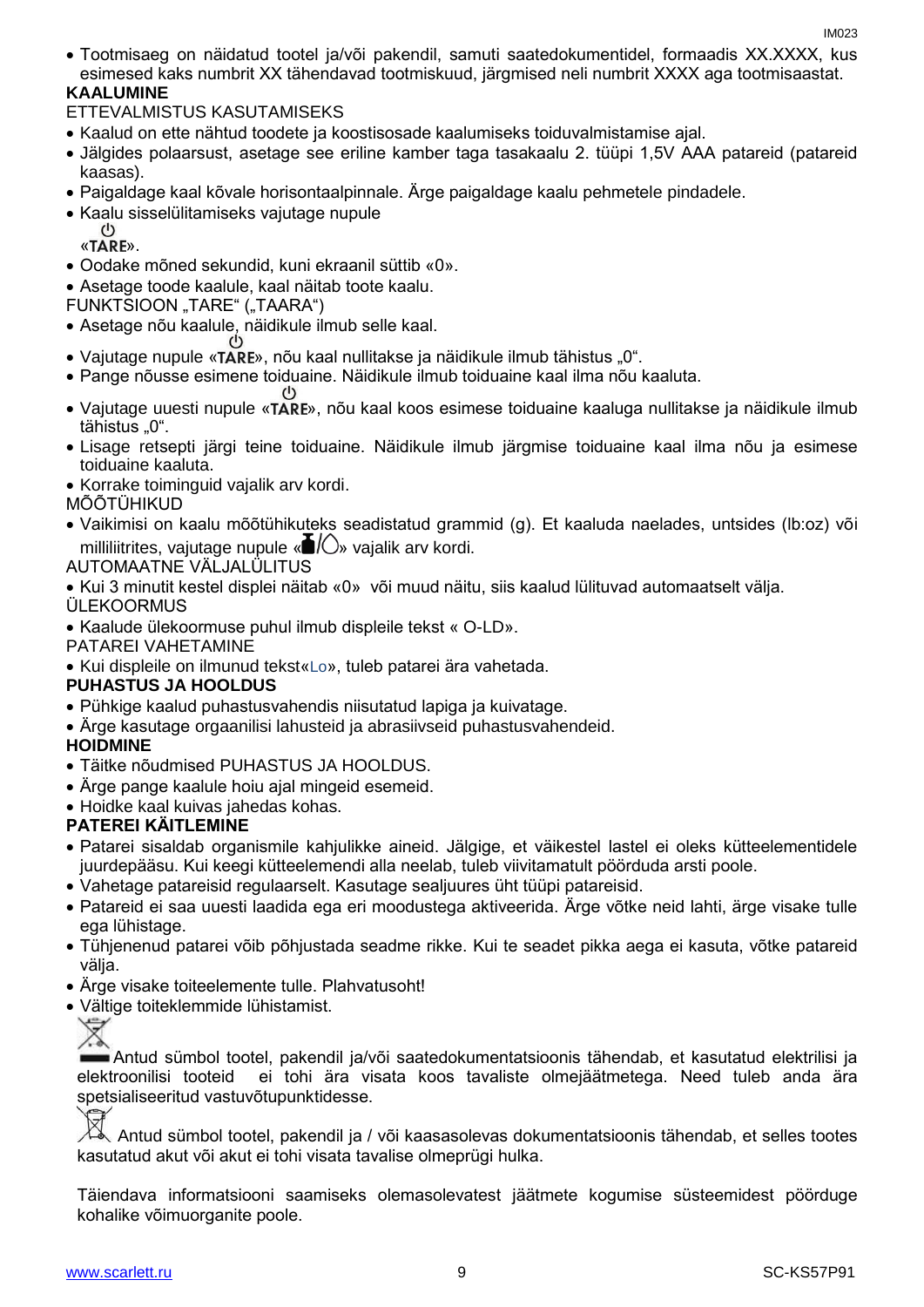- Tootmisaeg on näidatud tootel ja/või pakendil, samuti saatedokumentidel, formaadis XX.XXXX, kus esimesed kaks numbrit XX tähendavad tootmiskuud, järgmised neli numbrit XXXX aga tootmisaastat. **KAALUMINE**
- ETTEVALMISTUS KASUTAMISEKS
- Kaalud on ette nähtud toodete ja koostisosade kaalumiseks toiduvalmistamise ajal.
- Jälgides polaarsust, asetage see eriline kamber taga tasakaalu 2. tüüpi 1,5V AAA patareid (patareid kaasas).
- Paigaldage kaal kõvale horisontaalpinnale. Ärge paigaldage kaalu pehmetele pindadele.
- Kaalu sisselülitamiseks vajutage nupule
	- $\mathcal{L}^{(1)}$ «TARE».
- Oodake mõned sekundid, kuni ekraanil süttib «0».
- Asetage toode kaalule, kaal näitab toote kaalu.
- FUNKTSIOON "TARE" ("TAARA")
- Asetage nõu kaalule, näidikule ilmub selle kaal.
- Vajutage nupule «TARE», nõu kaal nullitakse ja näidikule ilmub tähistus "0".
- Pange nõusse esimene toiduaine. Näidikule ilmub toiduaine kaal ilma nõu kaaluta.
- Vajutage uuesti nupule «TARE», nõu kaal koos esimese toiduaine kaaluga nullitakse ja näidikule ilmub tähistus "0".
- Lisage retsepti järgi teine toiduaine. Näidikule ilmub järgmise toiduaine kaal ilma nõu ja esimese toiduaine kaaluta.
- Korrake toiminguid vajalik arv kordi.
- MÕÕTÜHIKUD
- Vaikimisi on kaalu mõõtühikuteks seadistatud grammid (g). Et kaaluda naelades, untsides (lb:oz) või milliliitrites, vajutage nupule « $\blacksquare/\bigcirc$ » vajalik arv kordi.
- AUTOMAATNE VÄLJALÜLITUS
- Kui 3 minutit kestel displei näitab «0» või muud näitu, siis kaalud lülituvad automaatselt välja.
- **ÜLEKOORMUS**
- Kaalude ülekoormuse puhul ilmub displeile tekst « O-LD».
- PATAREI VAHETAMINE
- Kui displeile on ilmunud tekst«Lo», tuleb patarei ära vahetada.

#### **PUHASTUS JA HOOLDUS**

- Pühkige kaalud puhastusvahendis niisutatud lapiga ja kuivatage.
- Ärge kasutage orgaanilisi lahusteid ja abrasiivseid puhastusvahendeid.

#### **HOIDMINE**

- Täitke nõudmised PUHASTUS JA HOOLDUS.
- Ärge pange kaalule hoiu ajal mingeid esemeid.
- Hoidke kaal kuivas jahedas kohas.

#### **PATEREI KÄITLEMINE**

- Patarei sisaldab organismile kahjulikke aineid. Jälgige, et väikestel lastel ei oleks kütteelementidele juurdepääsu. Kui keegi kütteelemendi alla neelab, tuleb viivitamatult pöörduda arsti poole.
- Vahetage patareisid regulaarselt. Kasutage sealjuures üht tüüpi patareisid.
- Patareid ei saa uuesti laadida ega eri moodustega aktiveerida. Ärge võtke neid lahti, ärge visake tulle ega lühistage.
- Tühjenenud patarei võib põhjustada seadme rikke. Kui te seadet pikka aega ei kasuta, võtke patareid välja.
- Ärge visake toiteelemente tulle. Plahvatusoht!
- Vältige toiteklemmide lühistamist.



Antud sümbol tootel, pakendil ja/või saatedokumentatsioonis tähendab, et kasutatud elektrilisi ja elektroonilisi tooteid ei tohi ära visata koos tavaliste olmejäätmetega. Need tuleb anda ära spetsialiseeritud vastuvõtupunktidesse.

Antud sümbol tootel, pakendil ja / või kaasasolevas dokumentatsioonis tähendab, et selles tootes kasutatud akut või akut ei tohi visata tavalise olmeprügi hulka.

Täiendava informatsiooni saamiseks olemasolevatest jäätmete kogumise süsteemidest pöörduge kohalike võimuorganite poole.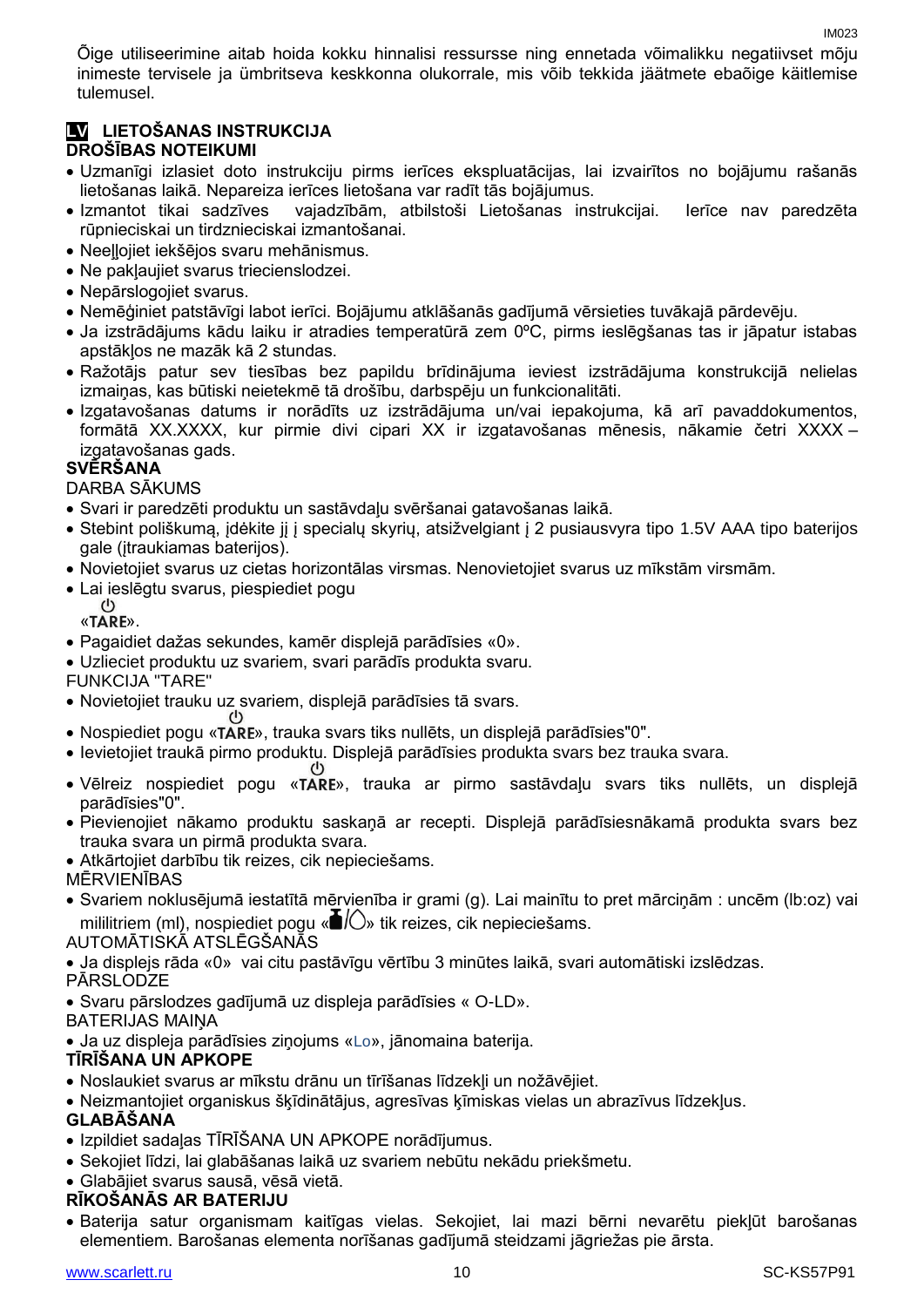Õige utiliseerimine aitab hoida kokku hinnalisi ressursse ning ennetada võimalikku negatiivset mõju inimeste tervisele ja ümbritseva keskkonna olukorrale, mis võib tekkida jäätmete ebaõige käitlemise tulemusel.

#### **LV LIETOŠANAS INSTRUKCIJA DROŠĪBAS NOTEIKUMI**

- Uzmanīgi izlasiet doto instrukciju pirms ierīces ekspluatācijas, lai izvairītos no bojājumu rašanās lietošanas laikā. Nepareiza ierīces lietošana var radīt tās bojājumus.
- Izmantot tikai sadzīves vajadzībām, atbilstoši Lietošanas instrukcijai. Ierīce nav paredzēta rūpnieciskai un tirdznieciskai izmantošanai.
- Neeļļojiet iekšējos svaru mehānismus.
- Ne pakļaujiet svarus triecienslodzei.
- Nepārslogojiet svarus.
- Nemēģiniet patstāvīgi labot ierīci. Bojājumu atklāšanās gadījumā vērsieties tuvākajā pārdevēju.
- Ja izstrādājums kādu laiku ir atradies temperatūrā zem 0ºC, pirms ieslēgšanas tas ir jāpatur istabas apstākļos ne mazāk kā 2 stundas.
- Ražotājs patur sev tiesības bez papildu brīdinājuma ieviest izstrādājuma konstrukcijā nelielas izmaiņas, kas būtiski neietekmē tā drošību, darbspēju un funkcionalitāti.
- Izgatavošanas datums ir norādīts uz izstrādājuma un/vai iepakojuma, kā arī pavaddokumentos, formātā XX.XXXX, kur pirmie divi cipari XX ir izgatavošanas mēnesis, nākamie četri XXXX – izgatavošanas gads.

#### **SVĒRŠANA**

DARBA SĀKUMS

- Svari ir paredzēti produktu un sastāvdaļu svēršanai gatavošanas laikā.
- Stebint poliškumą, įdėkite jį į specialų skyrių, atsižvelgiant į 2 pusiausvyra tipo 1.5V AAA tipo baterijos gale (įtraukiamas baterijos).
- Novietojiet svarus uz cietas horizontālas virsmas. Nenovietojiet svarus uz mīkstām virsmām.
- **Lai ieslēgtu svarus, piespiediet pogu**

«TARE».

- Pagaidiet dažas sekundes, kamēr displejā parādīsies «0».
- Uzlieciet produktu uz svariem, svari parādīs produkta svaru.
- FUNKCIJA "TARE"
- Novietojiet trauku uz svariem, displejā parādīsies tā svars.
- Nospiediet pogu « », trauka svars tiks nullēts, un displejā parādīsies"0".
- Ievietojiet traukā pirmo produktu. Displejā parādīsies produkta svars bez trauka svara.
- Vēlreiz nospiediet pogu «TARE», trauka ar pirmo sastāvdaļu svars tiks nullēts, un displejā parādīsies"0".
- Pievienojiet nākamo produktu saskaņā ar recepti. Displejā parādīsiesnākamā produkta svars bez trauka svara un pirmā produkta svara.
- Atkārtojiet darbību tik reizes, cik nepieciešams.

MĒRVIENĪBAS

 Svariem noklusējumā iestatītā mērvienība ir grami (g). Lai mainītu to pret mārciņām : uncēm (lb:oz) vai mililitriem (ml), nospiediet pogu « $\blacksquare/\bigcirc$ » tik reizes, cik nepieciešams.

AUTOMĀTISKĀ ATSLĒGŠANĀS

Ja displejs rāda «0» vai citu pastāvīgu vērtību 3 minūtes laikā, svari automātiski izslēdzas.

**PĀRSLODZE** 

 Svaru pārslodzes gadījumā uz displeja parādīsies « O-LD». BATERIJAS MAIŅA

Ja uz displeja parādīsies ziņojums «Lo», jānomaina baterija.

#### **TĪRĪŠANA UN APKOPE**

- Noslaukiet svarus ar mīkstu drānu un tīrīšanas līdzekļi un nožāvējiet.
- Neizmantojiet organiskus šķīdinātājus, agresīvas ķīmiskas vielas un abrazīvus līdzekļus.

#### **GLABĀŠANA**

- Izpildiet sadaļas TĪRĪŠANA UN APKOPE norādījumus.
- Sekojiet līdzi, lai glabāšanas laikā uz svariem nebūtu nekādu priekšmetu.
- Glabājiet svarus sausā, vēsā vietā.

#### **RĪKOŠANĀS AR BATERIJU**

 Baterija satur organismam kaitīgas vielas. Sekojiet, lai mazi bērni nevarētu piekļūt barošanas elementiem. Barošanas elementa norīšanas gadījumā steidzami jāgriežas pie ārsta.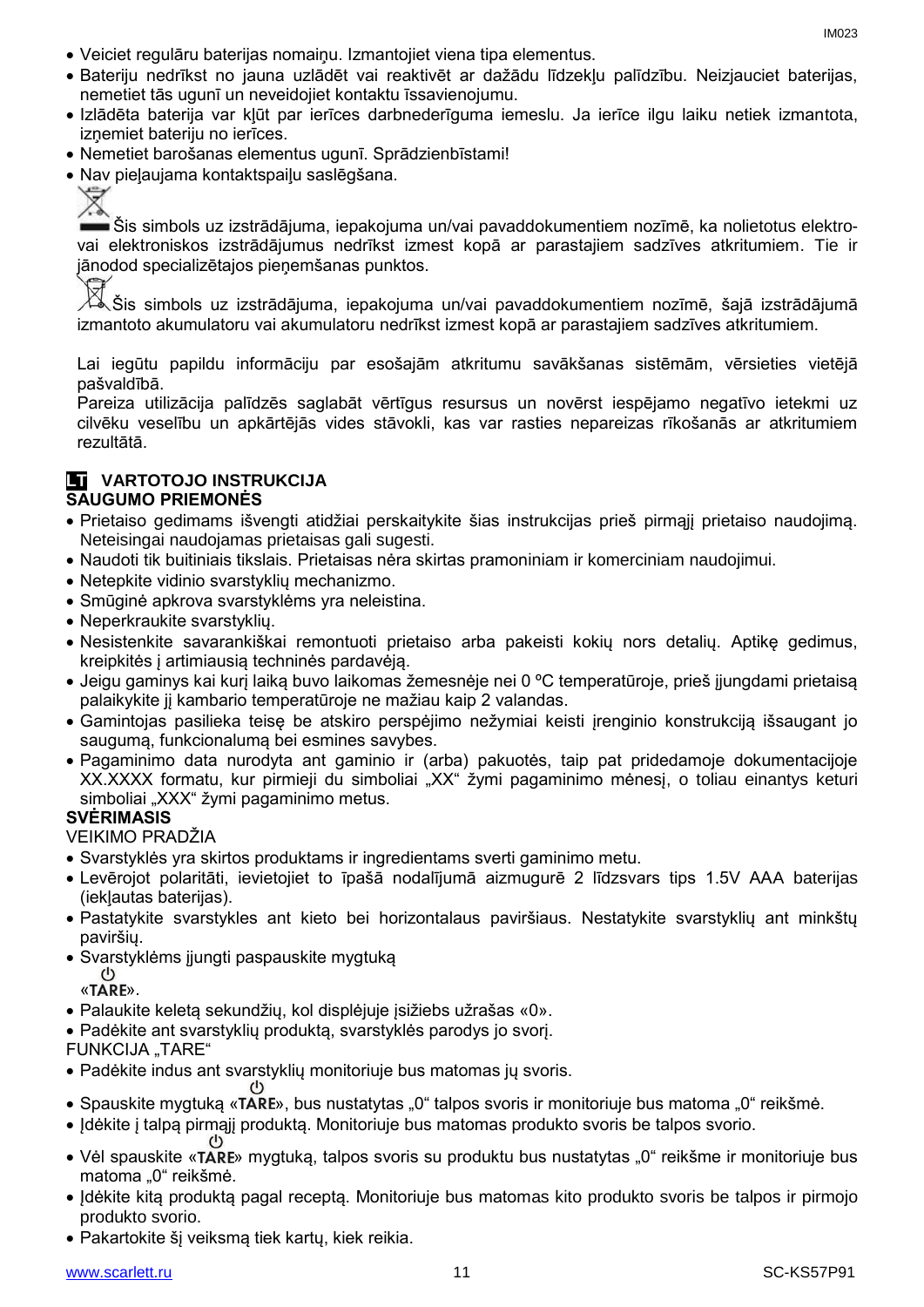IM023

- Veiciet regulāru baterijas nomaiņu. Izmantojiet viena tipa elementus.
- Bateriju nedrīkst no jauna uzlādēt vai reaktivēt ar dažādu līdzekļu palīdzību. Neizjauciet baterijas, nemetiet tās ugunī un neveidojiet kontaktu īssavienojumu.
- Izlādēta baterija var kļūt par ierīces darbnederīguma iemeslu. Ja ierīce ilgu laiku netiek izmantota, izņemiet bateriju no ierīces.
- Nemetiet barošanas elementus ugunī. Sprādzienbīstami!
- Nav pieļaujama kontaktspaiļu saslēgšana.

 $\blacksquare$ Šis simbols uz izstrādājuma, iepakojuma un/vai pavaddokumentiem nozīmē, ka nolietotus elektrovai elektroniskos izstrādājumus nedrīkst izmest kopā ar parastajiem sadzīves atkritumiem. Tie ir jānodod specializētajos pieņemšanas punktos.

⊠ Šis simbols uz izstrādājuma, iepakojuma un/vai pavaddokumentiem nozīmē, šajā izstrādājumā izmantoto akumulatoru vai akumulatoru nedrīkst izmest kopā ar parastajiem sadzīves atkritumiem.

Lai iegūtu papildu informāciju par esošajām atkritumu savākšanas sistēmām, vērsieties vietējā pašvaldībā.

Pareiza utilizācija palīdzēs saglabāt vērtīgus resursus un novērst iespējamo negatīvo ietekmi uz cilvēku veselību un apkārtējās vides stāvokli, kas var rasties nepareizas rīkošanās ar atkritumiem rezultātā.

### **LT VARTOTOJO INSTRUKCIJA**

#### **SAUGUMO PRIEMONĖS**

- Prietaiso gedimams išvengti atidžiai perskaitykite šias instrukcijas prieš pirmąjį prietaiso naudojimą. Neteisingai naudojamas prietaisas gali sugesti.
- Naudoti tik buitiniais tikslais. Prietaisas nėra skirtas pramoniniam ir komerciniam naudojimui.
- Netepkite vidinio svarstyklių mechanizmo.
- Smūginė apkrova svarstyklėms yra neleistina.
- Neperkraukite svarstyklių.
- Nesistenkite savarankiškai remontuoti prietaiso arba pakeisti kokių nors detalių. Aptikę gedimus, kreipkitės į artimiausią techninės pardavėją.
- Jeigu gaminys kai kurį laiką buvo laikomas žemesnėje nei 0 ºC temperatūroje, prieš įjungdami prietaisą palaikykite jį kambario temperatūroje ne mažiau kaip 2 valandas.
- Gamintojas pasilieka teisę be atskiro perspėjimo nežymiai keisti įrenginio konstrukciją išsaugant jo saugumą, funkcionalumą bei esmines savybes.
- Pagaminimo data nurodyta ant gaminio ir (arba) pakuotės, taip pat pridedamoje dokumentacijoje XX.XXXX formatu, kur pirmieji du simboliai "XX" žymi pagaminimo mėnesį, o toliau einantys keturi simboliai "XXX" žymi pagaminimo metus.

#### **SVĖRIMASIS**

#### VEIKIMO PRADŽIA

- Svarstyklės yra skirtos produktams ir ingredientams sverti gaminimo metu.
- Levērojot polaritāti, ievietojiet to īpašā nodalījumā aizmugurē 2 līdzsvars tips 1.5V AAA baterijas (iekļautas baterijas).
- Pastatykite svarstykles ant kieto bei horizontalaus paviršiaus. Nestatykite svarstyklių ant minkštų paviršių.
- Svarstyklėms įjungti paspauskite mygtuką  $(1)$

«TARE».

- Palaukite keletą sekundžių, kol displėjuje įsižiebs užrašas «0».
- Padėkite ant svarstyklių produktą, svarstyklės parodys jo svorį.

FUNKCIJA "TARE"

- Padėkite indus ant svarstyklių monitoriuje bus matomas jų svoris.
- Spauskite mygtuką «TARE», bus nustatytas "0" talpos svoris ir monitoriuje bus matoma "0" reikšmė.
- Įdėkite į talpą pirmąjį produktą. Monitoriuje bus matomas produkto svoris be talpos svorio.
- Vėl spauskite «TARE» mygtuką, talpos svoris su produktu bus nustatytas "0" reikšme ir monitoriuje bus matoma "0" reikšmė.
- Idėkite kitą produktą pagal receptą. Monitoriuje bus matomas kito produkto svoris be talpos ir pirmojo produkto svorio.
- Pakartokite šį veiksmą tiek kartų, kiek reikia.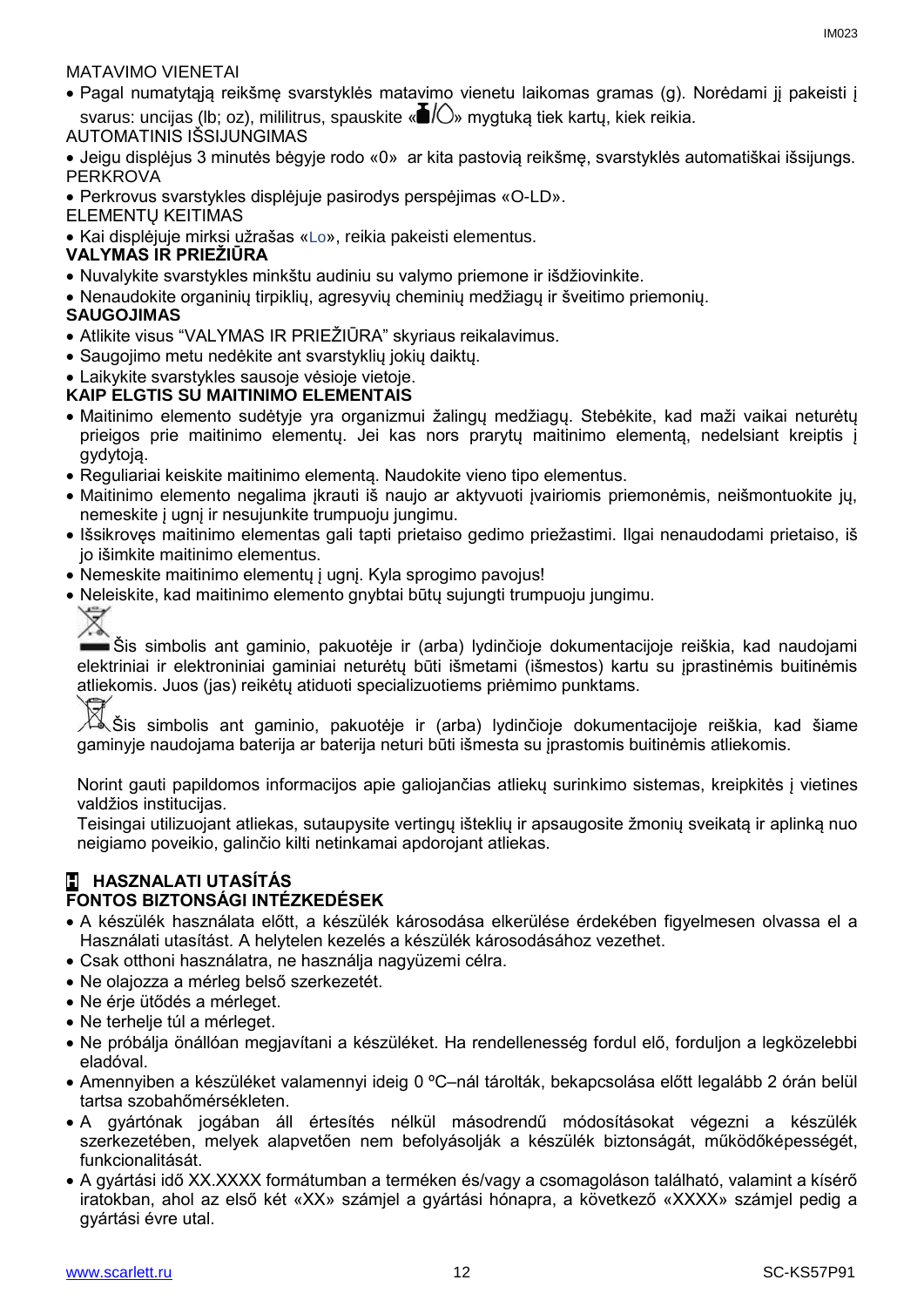#### MATAVIMO VIENETAI

- Pagal numatytąją reikšmę svarstyklės matavimo vienetu laikomas gramas (g). Norėdami jį pakeisti į svarus: uncijas (lb; oz), mililitrus, spauskite « $\blacksquare/\bigcirc$ » mygtuką tiek kartų, kiek reikia.
- AUTOMATINIS IŠSIJUNGIMAS

 Jeigu displėjus 3 minutės bėgyje rodo «0» ar kita pastovią reikšmę, svarstyklės automatiškai išsijungs. PERKROVA

Perkrovus svarstykles displėjuje pasirodys perspėjimas «O-LD».

ELEMENTŲ KEITIMAS

Kai displėjuje mirksi užrašas «Lo», reikia pakeisti elementus.

#### **VALYMAS IR PRIEŽIŪRA**

- Nuvalykite svarstykles minkštu audiniu su valymo priemone ir išdžiovinkite.
- Nenaudokite organinių tirpiklių, agresyvių cheminių medžiagų ir šveitimo priemonių.

#### **SAUGOJIMAS**

- Atlikite visus "VALYMAS IR PRIEŽIŪRA" skyriaus reikalavimus.
- Saugojimo metu nedėkite ant svarstyklių jokių daiktų.
- Laikykite svarstykles sausoje vėsioje vietoje.

#### **KAIP ELGTIS SU MAITINIMO ELEMENTAIS**

- Maitinimo elemento sudėtyje yra organizmui žalingų medžiagų. Stebėkite, kad maži vaikai neturėtų prieigos prie maitinimo elementų. Jei kas nors prarytų maitinimo elementą, nedelsiant kreiptis į gydytoją.
- Reguliariai keiskite maitinimo elementą. Naudokite vieno tipo elementus.
- Maitinimo elemento negalima įkrauti iš naujo ar aktyvuoti įvairiomis priemonėmis, neišmontuokite jų, nemeskite į ugnį ir nesujunkite trumpuoju jungimu.
- Išsikrovęs maitinimo elementas gali tapti prietaiso gedimo priežastimi. Ilgai nenaudodami prietaiso, iš jo išimkite maitinimo elementus.
- Nemeskite maitinimo elementų į ugnį. Kyla sprogimo pavojus!
- Neleiskite, kad maitinimo elemento gnybtai būtų sujungti trumpuoju jungimu.



Šis simbolis ant gaminio, pakuotėje ir (arba) lydinčioje dokumentacijoje reiškia, kad naudojami elektriniai ir elektroniniai gaminiai neturėtų būti išmetami (išmestos) kartu su įprastinėmis buitinėmis atliekomis. Juos (jas) reikėtų atiduoti specializuotiems priėmimo punktams.<br>K Šis simbolis ant gaminio, pakuotėje ir (arba) lydinčioje dokumen

Šis simbolis ant gaminio, pakuotėje ir (arba) lydinčioje dokumentacijoje reiškia, kad šiame gaminyje naudojama baterija ar baterija neturi būti išmesta su įprastomis buitinėmis atliekomis.

Norint gauti papildomos informacijos apie galiojančias atliekų surinkimo sistemas, kreipkitės į vietines valdžios institucijas.

Teisingai utilizuojant atliekas, sutaupysite vertingų išteklių ir apsaugosite žmonių sveikatą ir aplinką nuo neigiamo poveikio, galinčio kilti netinkamai apdorojant atliekas.

#### **H HASZNALATI UTASÍTÁS FONTOS BIZTONSÁGI INTÉZKEDÉSEK**

- A készülék használata előtt, a készülék károsodása elkerülése érdekében figyelmesen olvassa el a Használati utasítást. A helytelen kezelés a készülék károsodásához vezethet.
- Csak otthoni használatra, ne használja nagyüzemi célra.
- Ne olajozza a mérleg belső szerkezetét.
- Ne érje ütődés a mérleget.
- Ne terhelje túl a mérleget.
- Ne próbálja önállóan megjavítani a készüléket. Ha rendellenesség fordul elő, forduljon a legközelebbi eladóval.
- Amennyiben a készüléket valamennyi ideig 0 ºC–nál tárolták, bekapcsolása előtt legalább 2 órán belül tartsa szobahőmérsékleten.
- A gyártónak jogában áll értesítés nélkül másodrendű módosításokat végezni a készülék szerkezetében, melyek alapvetően nem befolyásolják a készülék biztonságát, működőképességét, funkcionalitását.
- A gyártási idő XX.XXXX formátumban a terméken és/vagy a csomagoláson található, valamint a kísérő iratokban, ahol az első két «XX» számjel a gyártási hónapra, a következő «XXXX» számjel pedig a gyártási évre utal.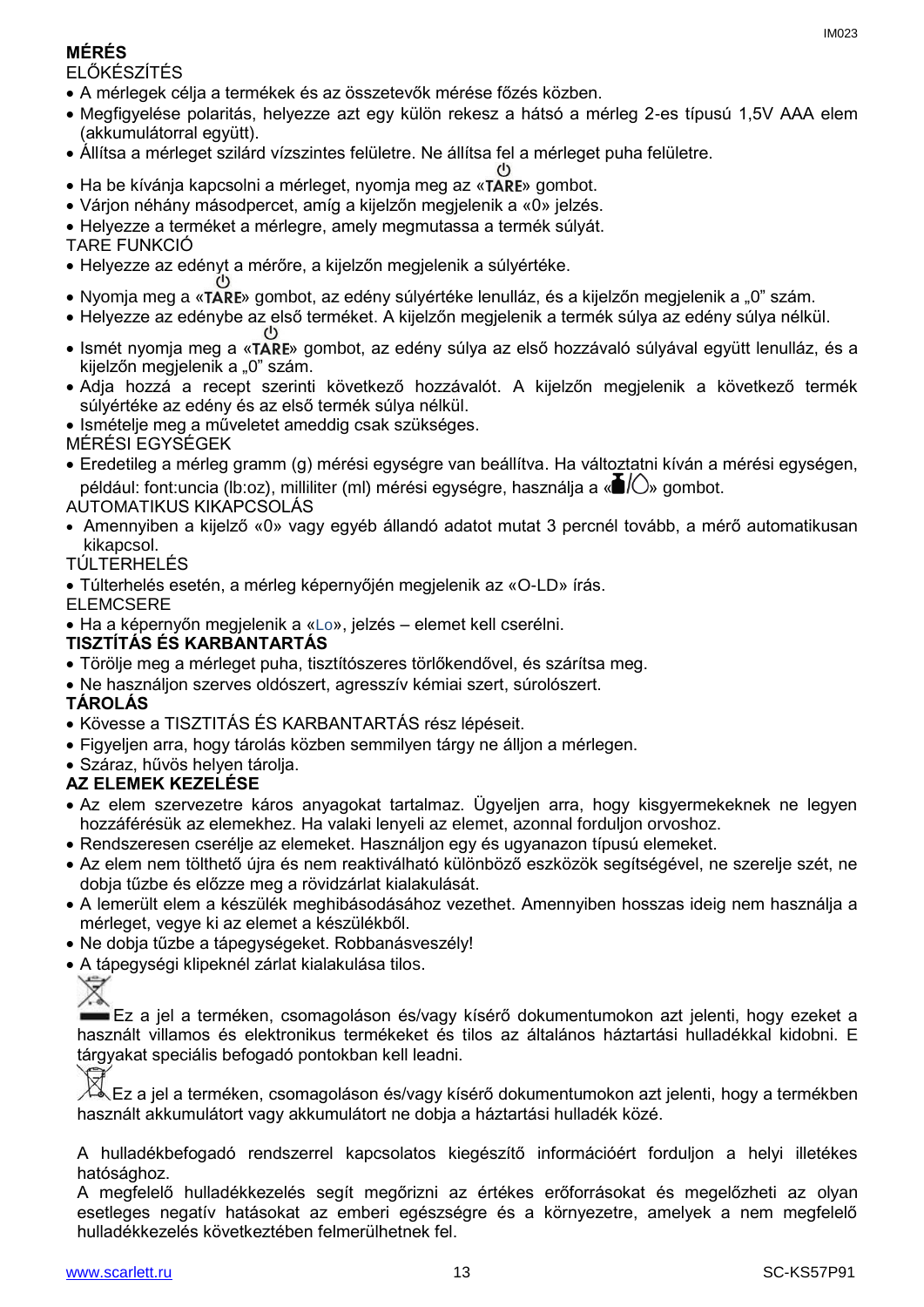### **MÉRÉS**

ELŐKÉSZÍTÉS

- A mérlegek célja a termékek és az összetevők mérése főzés közben.
- Megfigyelése polaritás, helyezze azt egy külön rekesz a hátsó a mérleg 2-es típusú 1,5V AAA elem (akkumulátorral együtt).
- Állítsa a mérleget szilárd vízszintes felületre. Ne állítsa fel a mérleget puha felületre.
- Ha be kívánia kapcsolni a mérleget, nyomia meg az «TARE» gombot.
- Várjon néhány másodpercet, amíg a kijelzőn megjelenik a «0» jelzés.
- Helyezze a terméket a mérlegre, amely megmutassa a termék súlyát.
- TARE FUNKCIÓ
- Helyezze az edényt a mérőre, a kijelzőn megjelenik a súlyértéke.
- Nyomja meg a «TARE» gombot, az edény súlyértéke lenulláz, és a kijelzőn megjelenik a "0" szám.
- Helyezze az edénybe az első terméket. A kijelzőn megjelenik a termék súlya az edény súlya nélkül.
- Ismét nyomja meg a «TARE» gombot, az edény súlya az első hozzávaló súlyával együtt lenulláz, és a kijelzőn megjelenik a "0" szám.
- Adja hozzá a recept szerinti következő hozzávalót. A kijelzőn megjelenik a következő termék súlyértéke az edény és az első termék súlya nélkül.
- Ismételje meg a műveletet ameddig csak szükséges.
- MÉRÉSI EGYSÉGEK
- Eredetileg a mérleg gramm (g) mérési egységre van beállítva. Ha változtatni kíván a mérési egységen, például: font:uncia (lb:oz), milliliter (ml) mérési egységre, használja a « $\blacksquare$ / $\bigcirc$ » gombot.

### AUTOMATIKUS KIKAPCSOLÁS

 Amennyiben a kijelző «0» vagy egyéb állandó adatot mutat 3 percnél tovább, a mérő automatikusan kikapcsol.

#### TÚLTERHELÉS

- Túlterhelés esetén, a mérleg képernyőjén megjelenik az «O-LD» írás.
- ELEMCSERE
- Ha a képernyőn megjelenik a «Lo», jelzés elemet kell cserélni.

### **TISZTÍTÁS ÉS KARBANTARTÁS**

- Törölje meg a mérleget puha, tisztítószeres törlőkendővel, és szárítsa meg.
- Ne használjon szerves oldószert, agresszív kémiai szert, súrolószert.

### **TÁROLÁS**

- Kövesse a TISZTITÁS ÉS KARBANTARTÁS rész lépéseit.
- Figyeljen arra, hogy tárolás közben semmilyen tárgy ne álljon a mérlegen.
- Száraz, hűvös helyen tárolia.

### **AZ ELEMEK KEZELÉSE**

- Az elem szervezetre káros anyagokat tartalmaz. Ügyeljen arra, hogy kisgyermekeknek ne legyen hozzáférésük az elemekhez. Ha valaki lenyeli az elemet, azonnal forduljon orvoshoz.
- Rendszeresen cserélje az elemeket. Használjon egy és ugyanazon típusú elemeket.
- Az elem nem tölthető újra és nem reaktiválható különböző eszközök segítségével, ne szerelje szét, ne dobja tűzbe és előzze meg a rövidzárlat kialakulását.
- A lemerült elem a készülék meghibásodásához vezethet. Amennyiben hosszas ideig nem használja a mérleget, vegye ki az elemet a készülékből.
- Ne dobja tűzbe a tápegységeket. Robbanásveszély!
- A tápegységi klipeknél zárlat kialakulása tilos.



Ez a jel a terméken, csomagoláson és/vagy kísérő dokumentumokon azt jelenti, hogy ezeket a használt villamos és elektronikus termékeket és tilos az általános háztartási hulladékkal kidobni. E tárgyakat speciális befogadó pontokban kell leadni.

Ez a jel a terméken, csomagoláson és/vagy kísérő dokumentumokon azt jelenti, hogy a termékben használt akkumulátort vagy akkumulátort ne dobja a háztartási hulladék közé.

A hulladékbefogadó rendszerrel kapcsolatos kiegészítő információért forduljon a helyi illetékes hatósághoz.

A megfelelő hulladékkezelés segít megőrizni az értékes erőforrásokat és megelőzheti az olyan esetleges negatív hatásokat az emberi egészségre és a környezetre, amelyek a nem megfelelő hulladékkezelés következtében felmerülhetnek fel.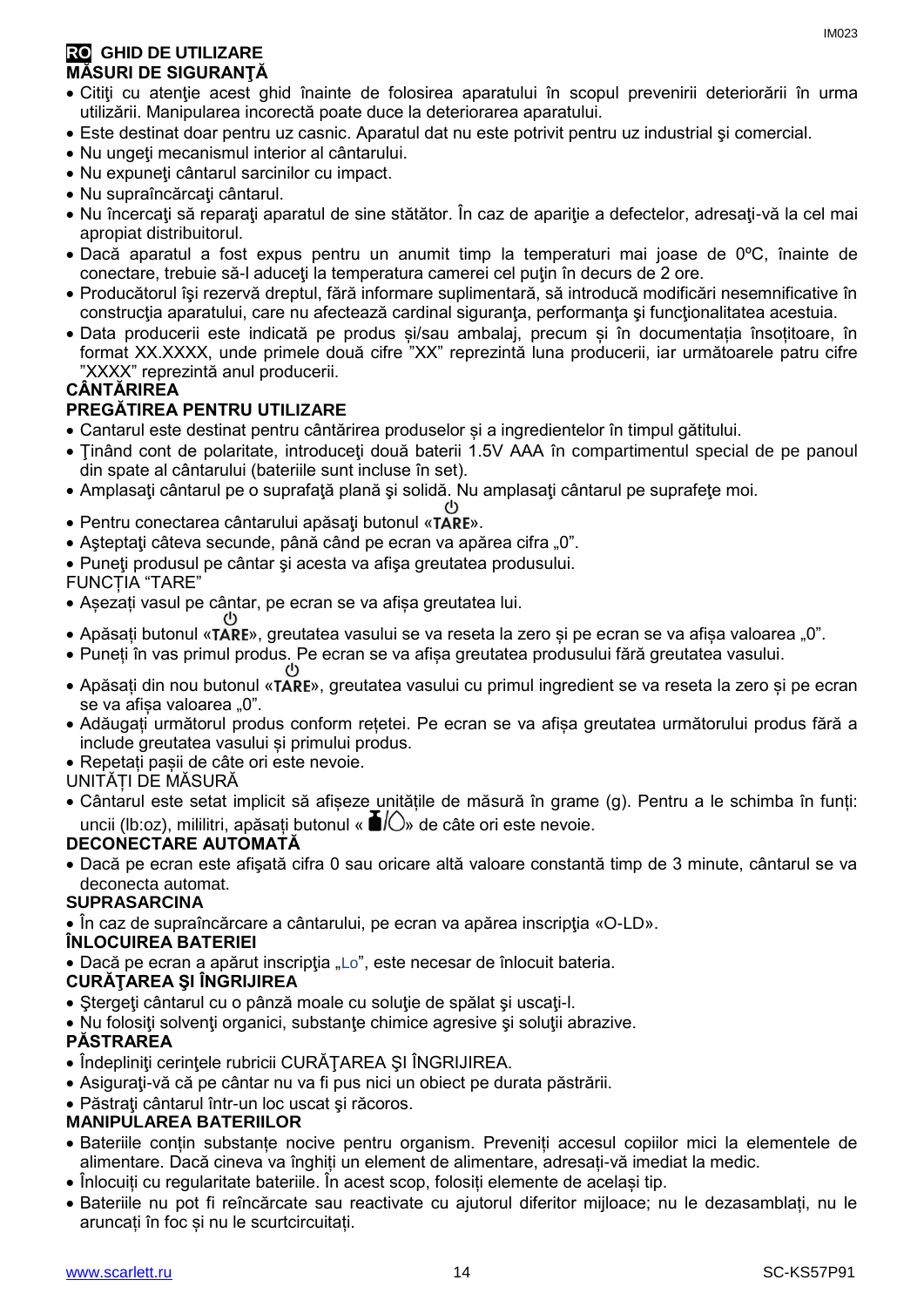- Citiţi cu atenţie acest ghid înainte de folosirea aparatului în scopul prevenirii deteriorării în urma utilizării. Manipularea incorectă poate duce la deteriorarea aparatului.
- Este destinat doar pentru uz casnic. Aparatul dat nu este potrivit pentru uz industrial şi comercial.
- Nu ungeți mecanismul interior al cântarului.
- Nu expuneți cântarul sarcinilor cu impact.
- Nu supraîncărcaţi cântarul.
- Nu încercați să reparați aparatul de sine stătător. În caz de apariție a defectelor, adresați-vă la cel mai apropiat distribuitorul.
- Dacă aparatul a fost expus pentru un anumit timp la temperaturi mai joase de 0ºC, înainte de conectare, trebuie să-l aduceţi la temperatura camerei cel puţin în decurs de 2 ore.
- Producătorul îşi rezervă dreptul, fără informare suplimentară, să introducă modificări nesemnificative în construcția aparatului, care nu afectează cardinal siguranța, performanța și funcționalitatea acestuia.
- Data producerii este indicată pe produs și/sau ambalaj, precum și în documentația însoțitoare, în format XX.XXXX, unde primele două cifre "XX" reprezintă luna producerii, iar următoarele patru cifre "XXXX" reprezintă anul producerii.

### **CÂNTĂRIREA**

#### **PREGĂTIREA PENTRU UTILIZARE**

- Cantarul este destinat pentru cântărirea produselor și a ingredientelor în timpul gătitului.
- Tinând cont de polaritate, introduceti două baterii 1.5V AAA în compartimentul special de pe panoul din spate al cântarului (bateriile sunt incluse în set).
- Amplasati cântarul pe o suprafață plană și solidă. Nu amplasați cântarul pe suprafețe moi.
- $(1)$ • Pentru conectarea cântarului apăsați butonul «TARE».
- Asteptați câteva secunde, până când pe ecran va apărea cifra "0".
- Puneți produsul pe cântar și acesta va afișa greutatea produsului.

FUNCȚIA "TARE"

- Așezați vasul pe cântar, pe ecran se va afișa greutatea lui.
- Apăsați butonul «TARE», greutatea vasului se va reseta la zero și pe ecran se va afișa valoarea "0".
- Puneți în vas primul produs. Pe ecran se va afișa greutatea produsului fără greutatea vasului.
- Apăsați din nou butonul «TARE», greutatea vasului cu primul ingredient se va reseta la zero și pe ecran se va afișa valoarea "0".
- Adăugați următorul produs conform rețetei. Pe ecran se va afișa greutatea următorului produs fără a include greutatea vasului și primului produs.
- Repetați pașii de câte ori este nevoie.

#### UNITĂȚI DE MĂSURĂ

 Cântarul este setat implicit să afișeze unitățile de măsură în grame (g). Pentru a le schimba în funți: uncii (lb:oz), mililitri, apăsați butonul « $\blacksquare$ /  $\bigcirc$ » de câte ori este nevoie.

#### **DECONECTARE AUTOMATĂ**

 Dacă pe ecran este afişată cifra 0 sau oricare altă valoare constantă timp de 3 minute, cântarul se va deconecta automat.

#### **SUPRASARCINA**

În caz de supraîncărcare a cântarului, pe ecran va apărea inscripţia «O-LD».

#### **ÎNLOCUIREA BATERIEI**

• Dacă pe ecran a apărut inscripția "Lo", este necesar de înlocuit bateria.

#### **CURĂŢAREA ŞI ÎNGRIJIREA**

- Ştergeţi cântarul cu o pânză moale cu soluţie de spălat şi uscaţi-l.
- Nu folosiţi solvenţi organici, substanţe chimice agresive şi soluţii abrazive.

#### **PĂSTRAREA**

- Îndepliniți cerințele rubricii CURĂTAREA ȘI ÎNGRIJIREA.
- Asiguraţi-vă că pe cântar nu va fi pus nici un obiect pe durata păstrării.
- Păstrați cântarul într-un loc uscat și răcoros.

#### **MANIPULAREA BATERIILOR**

- Bateriile conțin substanțe nocive pentru organism. Preveniți accesul copiilor mici la elementele de alimentare. Dacă cineva va înghiți un element de alimentare, adresați-vă imediat la medic.
- Înlocuiți cu regularitate bateriile. În acest scop, folosiți elemente de același tip.
- Bateriile nu pot fi reîncărcate sau reactivate cu ajutorul diferitor mijloace; nu le dezasamblați, nu le aruncați în foc și nu le scurtcircuitați.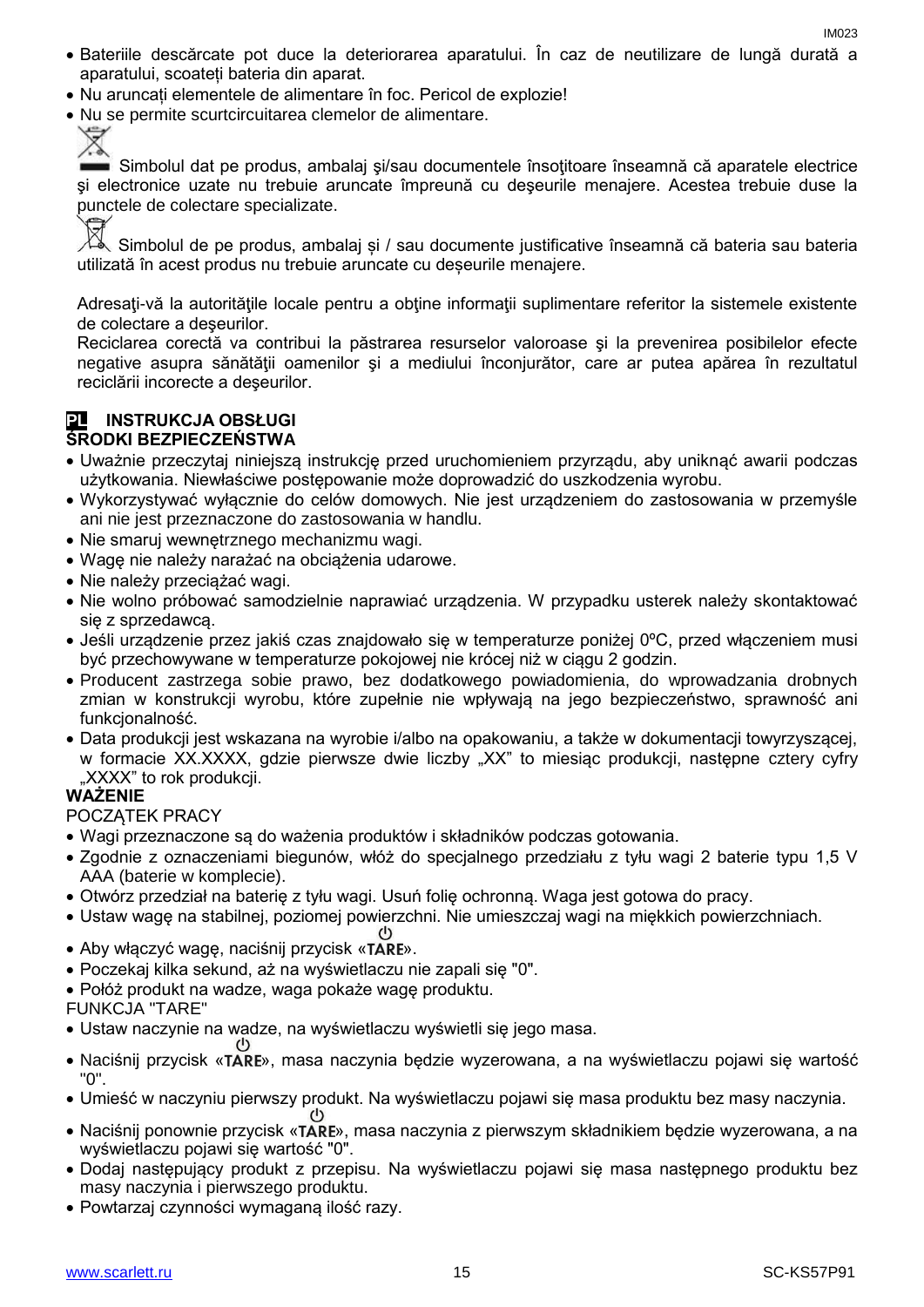- Bateriile descărcate pot duce la deteriorarea aparatului. În caz de neutilizare de lungă durată a aparatului, scoateți bateria din aparat.
- Nu aruncați elementele de alimentare în foc. Pericol de explozie!
- Nu se permite scurtcircuitarea clemelor de alimentare.

Simbolul dat pe produs, ambalaj şi/sau documentele însoţitoare înseamnă că aparatele electrice şi electronice uzate nu trebuie aruncate împreună cu deşeurile menajere. Acestea trebuie duse la punctele de colectare specializate.

Simbolul de pe produs, ambalaj și / sau documente justificative înseamnă că bateria sau bateria utilizată în acest produs nu trebuie aruncate cu deșeurile menajere.

Adresați-vă la autoritățile locale pentru a obține informații suplimentare referitor la sistemele existente de colectare a deşeurilor.

Reciclarea corectă va contribui la păstrarea resurselor valoroase şi la prevenirea posibilelor efecte negative asupra sănătăţii oamenilor şi a mediului înconjurător, care ar putea apărea în rezultatul reciclării incorecte a deşeurilor.

#### **PL INSTRUKCJA OBSŁUGI ŚRODKI BEZPIECZEŃSTWA**

- Uważnie przeczytaj niniejszą instrukcję przed uruchomieniem przyrządu, aby uniknąć awarii podczas użytkowania. Niewłaściwe postępowanie może doprowadzić do uszkodzenia wyrobu.
- Wykorzystywać wyłącznie do celów domowych. Nie jest urządzeniem do zastosowania w przemyśle ani nie jest przeznaczone do zastosowania w handlu.
- Nie smaruj wewnętrznego mechanizmu wagi.
- Wagę nie należy narażać na obciążenia udarowe.
- Nie należy przeciążać wagi.
- Nie wolno próbować samodzielnie naprawiać urządzenia. W przypadku usterek należy skontaktować się z sprzedawcą.
- Jeśli urządzenie przez jakiś czas znajdowało się w temperaturze poniżej 0ºC, przed włączeniem musi być przechowywane w temperaturze pokojowej nie krócej niż w ciągu 2 godzin.
- Producent zastrzega sobie prawo, bez dodatkowego powiadomienia, do wprowadzania drobnych zmian w konstrukcji wyrobu, które zupełnie nie wpływają na jego bezpieczeństwo, sprawność ani funkcjonalność.
- Data produkcji jest wskazana na wyrobie i/albo na opakowaniu, a także w dokumentacji towyrzyszącej, w formacie XX.XXXX, gdzie pierwsze dwie liczby "XX" to miesiąc produkcji, następne cztery cyfry "XXXX" to rok produkcji.

#### **WAŻENIE**

POCZĄTEK PRACY

- Wagi przeznaczone są do ważenia produktów i składników podczas gotowania.
- Zgodnie z oznaczeniami biegunów, włóż do specjalnego przedziału z tyłu wagi 2 baterie typu 1,5 V AAA (baterie w komplecie).
- Otwórz przedział na baterię z tyłu wagi. Usuń folię ochronną. Waga jest gotowa do pracy.
- Ustaw wagę na stabilnej, poziomej powierzchni. Nie umieszczaj wagi na miękkich powierzchniach.
- Aby właczyć wagę, naciśnii przycisk «TARE».
- Poczekaj kilka sekund, aż na wyświetlaczu nie zapali się "0".
- Połóż produkt na wadze, waga pokaże wagę produktu.
- FUNKCJA "TARE"
- Ustaw naczynie na wadze, na wyświetlaczu wyświetli się jego masa.
- Naciśnij przycisk «TARE», masa naczynia będzie wyzerowana, a na wyświetlaczu pojawi się wartość "0".
- Umieść w naczyniu pierwszy produkt. Na wyświetlaczu pojawi się masa produktu bez masy naczynia.
- Naciśnij ponownie przycisk «TARE», masa naczynia z pierwszym składnikiem będzie wyzerowana, a na wyświetlaczu pojawi się wartość "0".
- Dodaj następujący produkt z przepisu. Na wyświetlaczu pojawi się masa następnego produktu bez masy naczynia i pierwszego produktu.
- Powtarzaj czynności wymaganą ilość razy.